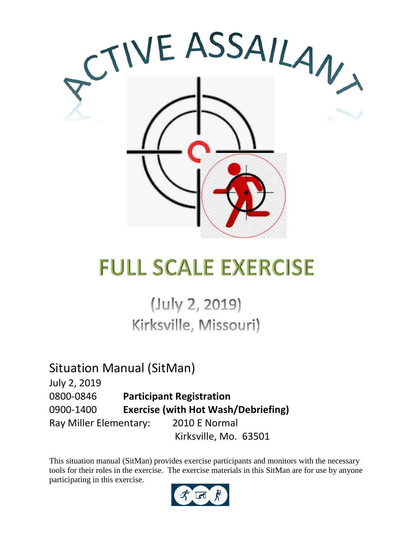

# **FULL SCALE EXERCISE**

(July 2, 2019) Kirksville, Missouri)

Situation Manual (SitMan) July 2, 2019 0800-0846 **Participant Registration** 0900-1400 **Exercise (with Hot Wash/Debriefing)** Ray Miller Elementary: 2010 E Normal Kirksville, Mo. 63501

This situation manual (SitMan) provides exercise participants and monitors with the necessary tools for their roles in the exercise. The exercise materials in this SitMan are for use by anyone participating in this exercise.

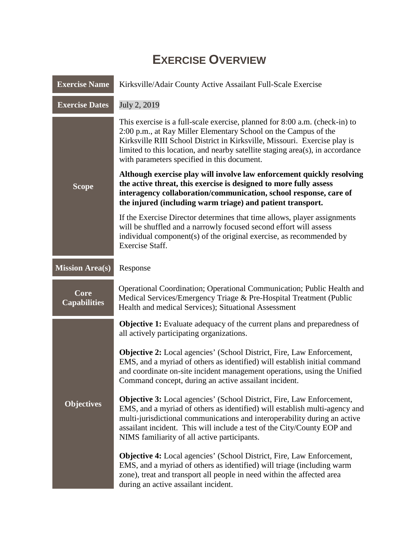### **EXERCISE OVERVIEW**

| <b>Exercise Name</b>        | Kirksville/Adair County Active Assailant Full-Scale Exercise                                                                                                                                                                                                                                                                                                       |  |
|-----------------------------|--------------------------------------------------------------------------------------------------------------------------------------------------------------------------------------------------------------------------------------------------------------------------------------------------------------------------------------------------------------------|--|
| <b>Exercise Dates</b>       | July 2, 2019                                                                                                                                                                                                                                                                                                                                                       |  |
|                             | This exercise is a full-scale exercise, planned for 8:00 a.m. (check-in) to<br>2:00 p.m., at Ray Miller Elementary School on the Campus of the<br>Kirksville RIII School District in Kirksville, Missouri. Exercise play is<br>limited to this location, and nearby satellite staging area(s), in accordance<br>with parameters specified in this document.        |  |
| <b>Scope</b>                | Although exercise play will involve law enforcement quickly resolving<br>the active threat, this exercise is designed to more fully assess<br>interagency collaboration/communication, school response, care of<br>the injured (including warm triage) and patient transport.                                                                                      |  |
|                             | If the Exercise Director determines that time allows, player assignments<br>will be shuffled and a narrowly focused second effort will assess<br>individual component(s) of the original exercise, as recommended by<br><b>Exercise Staff.</b>                                                                                                                     |  |
| <b>Mission Area(s)</b>      | Response                                                                                                                                                                                                                                                                                                                                                           |  |
| Core<br><b>Capabilities</b> | Operational Coordination; Operational Communication; Public Health and<br>Medical Services/Emergency Triage & Pre-Hospital Treatment (Public<br>Health and medical Services); Situational Assessment                                                                                                                                                               |  |
|                             | <b>Objective 1:</b> Evaluate adequacy of the current plans and preparedness of<br>all actively participating organizations.                                                                                                                                                                                                                                        |  |
|                             | <b>Objective 2:</b> Local agencies' (School District, Fire, Law Enforcement,<br>EMS, and a myriad of others as identified) will establish initial command<br>and coordinate on-site incident management operations, using the Unified<br>Command concept, during an active assailant incident.                                                                     |  |
| <b>Objectives</b>           | <b>Objective 3:</b> Local agencies' (School District, Fire, Law Enforcement,<br>EMS, and a myriad of others as identified) will establish multi-agency and<br>multi-jurisdictional communications and interoperability during an active<br>assailant incident. This will include a test of the City/County EOP and<br>NIMS familiarity of all active participants. |  |
|                             | <b>Objective 4:</b> Local agencies' (School District, Fire, Law Enforcement,<br>EMS, and a myriad of others as identified) will triage (including warm<br>zone), treat and transport all people in need within the affected area<br>during an active assailant incident.                                                                                           |  |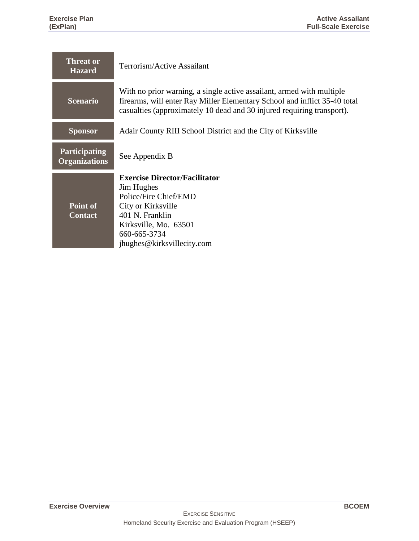and the control of the control of the control of the

| <b>Threat or</b><br><b>Hazard</b>            | Terrorism/Active Assailant                                                                                                                                                                                                   |  |
|----------------------------------------------|------------------------------------------------------------------------------------------------------------------------------------------------------------------------------------------------------------------------------|--|
| <b>Scenario</b>                              | With no prior warning, a single active assailant, armed with multiple<br>firearms, will enter Ray Miller Elementary School and inflict 35-40 total<br>casualties (approximately 10 dead and 30 injured requiring transport). |  |
| <b>Sponsor</b>                               | Adair County RIII School District and the City of Kirksville                                                                                                                                                                 |  |
| <b>Participating</b><br><b>Organizations</b> | See Appendix B                                                                                                                                                                                                               |  |
| Point of<br><b>Contact</b>                   | <b>Exercise Director/Facilitator</b><br><b>Jim Hughes</b><br>Police/Fire Chief/EMD<br>City or Kirksville<br>401 N. Franklin<br>Kirksville, Mo. 63501                                                                         |  |
|                                              | 660-665-3734<br>jhughes@kirksvillecity.com                                                                                                                                                                                   |  |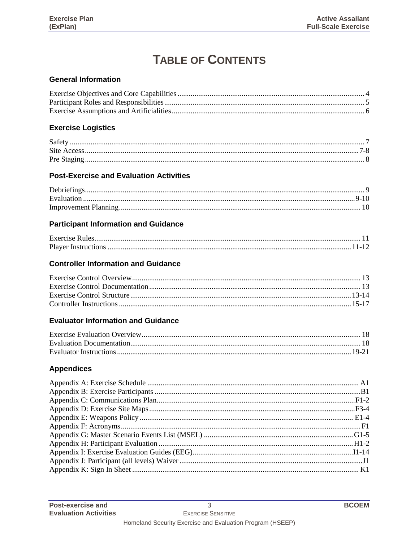### **TABLE OF CONTENTS**

#### **General Information**

#### **Exercise Logistics**

#### **Post-Exercise and Evaluation Activities**

#### **Participant Information and Guidance**

#### **Controller Information and Guidance**

#### **Evaluator Information and Guidance**

#### **Appendices**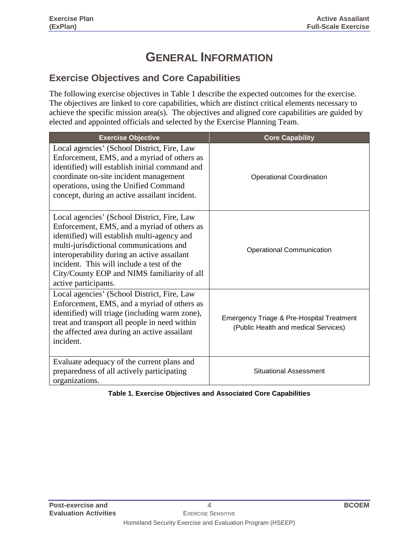### **GENERAL INFORMATION**

#### **Exercise Objectives and Core Capabilities**

The following exercise objectives in Table 1 describe the expected outcomes for the exercise. The objectives are linked to core capabilities, which are distinct critical elements necessary to achieve the specific mission area(s). The objectives and aligned core capabilities are guided by elected and appointed officials and selected by the Exercise Planning Team.

| <b>Exercise Objective</b>                                                                                                                                                                                                                                                                                                                               | <b>Core Capability</b>                                                                       |
|---------------------------------------------------------------------------------------------------------------------------------------------------------------------------------------------------------------------------------------------------------------------------------------------------------------------------------------------------------|----------------------------------------------------------------------------------------------|
| Local agencies' (School District, Fire, Law<br>Enforcement, EMS, and a myriad of others as<br>identified) will establish initial command and<br>coordinate on-site incident management<br>operations, using the Unified Command<br>concept, during an active assailant incident.                                                                        | <b>Operational Coordination</b>                                                              |
| Local agencies' (School District, Fire, Law<br>Enforcement, EMS, and a myriad of others as<br>identified) will establish multi-agency and<br>multi-jurisdictional communications and<br>interoperability during an active assailant<br>incident. This will include a test of the<br>City/County EOP and NIMS familiarity of all<br>active participants. | <b>Operational Communication</b>                                                             |
| Local agencies' (School District, Fire, Law<br>Enforcement, EMS, and a myriad of others as<br>identified) will triage (including warm zone),<br>treat and transport all people in need within<br>the affected area during an active assailant<br>incident.                                                                                              | <b>Emergency Triage &amp; Pre-Hospital Treatment</b><br>(Public Health and medical Services) |
| Evaluate adequacy of the current plans and<br>preparedness of all actively participating<br>organizations.                                                                                                                                                                                                                                              | <b>Situational Assessment</b>                                                                |

#### **Table 1. Exercise Objectives and Associated Core Capabilities**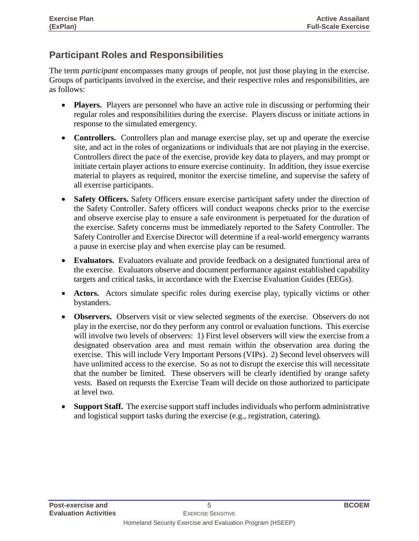#### **Participant Roles and Responsibilities**

The term *participant* encompasses many groups of people, not just those playing in the exercise. Groups of participants involved in the exercise, and their respective roles and responsibilities, are as follows:

- **Players.** Players are personnel who have an active role in discussing or performing their regular roles and responsibilities during the exercise. Players discuss or initiate actions in response to the simulated emergency.
- **Controllers.** Controllers plan and manage exercise play, set up and operate the exercise site, and act in the roles of organizations or individuals that are not playing in the exercise. Controllers direct the pace of the exercise, provide key data to players, and may prompt or initiate certain player actions to ensure exercise continuity. In addition, they issue exercise material to players as required, monitor the exercise timeline, and supervise the safety of all exercise participants.
- **Safety Officers.** Safety Officers ensure exercise participant safety under the direction of the Safety Controller. Safety officers will conduct weapons checks prior to the exercise and observe exercise play to ensure a safe environment is perpetuated for the duration of the exercise. Safety concerns must be immediately reported to the Safety Controller. The Safety Controller and Exercise Director will determine if a real-world emergency warrants a pause in exercise play and when exercise play can be resumed.
- **Evaluators.** Evaluators evaluate and provide feedback on a designated functional area of the exercise. Evaluators observe and document performance against established capability targets and critical tasks, in accordance with the Exercise Evaluation Guides (EEGs).
- **Actors.** Actors simulate specific roles during exercise play, typically victims or other bystanders.
- **Observers.** Observers visit or view selected segments of the exercise. Observers do not play in the exercise, nor do they perform any control or evaluation functions. This exercise will involve two levels of observers: 1) First level observers will view the exercise from a designated observation area and must remain within the observation area during the exercise. This will include Very Important Persons (VIPs). 2) Second level observers will have unlimited access to the exercise. So as not to disrupt the exercise this will necessitate that the number be limited. These observers will be clearly identified by orange safety vests. Based on requests the Exercise Team will decide on those authorized to participate at level two.
- **Support Staff.** The exercise support staff includes individuals who perform administrative and logistical support tasks during the exercise (e.g., registration, catering).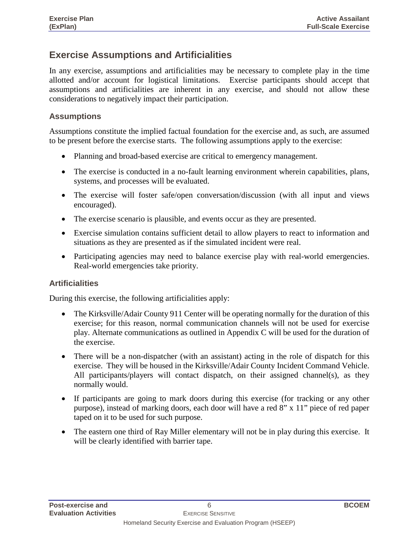#### **Exercise Assumptions and Artificialities**

In any exercise, assumptions and artificialities may be necessary to complete play in the time allotted and/or account for logistical limitations. Exercise participants should accept that assumptions and artificialities are inherent in any exercise, and should not allow these considerations to negatively impact their participation.

#### **Assumptions**

Assumptions constitute the implied factual foundation for the exercise and, as such, are assumed to be present before the exercise starts. The following assumptions apply to the exercise:

- Planning and broad-based exercise are critical to emergency management.
- The exercise is conducted in a no-fault learning environment wherein capabilities, plans, systems, and processes will be evaluated.
- The exercise will foster safe/open conversation/discussion (with all input and views encouraged).
- The exercise scenario is plausible, and events occur as they are presented.
- Exercise simulation contains sufficient detail to allow players to react to information and situations as they are presented as if the simulated incident were real.
- Participating agencies may need to balance exercise play with real-world emergencies. Real-world emergencies take priority.

#### **Artificialities**

During this exercise, the following artificialities apply:

- The Kirksville/Adair County 911 Center will be operating normally for the duration of this exercise; for this reason, normal communication channels will not be used for exercise play. Alternate communications as outlined in Appendix C will be used for the duration of the exercise.
- There will be a non-dispatcher (with an assistant) acting in the role of dispatch for this exercise. They will be housed in the Kirksville/Adair County Incident Command Vehicle. All participants/players will contact dispatch, on their assigned channel(s), as they normally would.
- If participants are going to mark doors during this exercise (for tracking or any other purpose), instead of marking doors, each door will have a red 8" x 11" piece of red paper taped on it to be used for such purpose.
- The eastern one third of Ray Miller elementary will not be in play during this exercise. It will be clearly identified with barrier tape.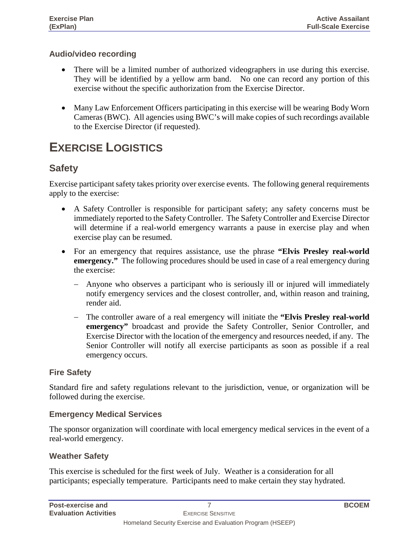#### **Audio/video recording**

- There will be a limited number of authorized videographers in use during this exercise. They will be identified by a yellow arm band. No one can record any portion of this exercise without the specific authorization from the Exercise Director.
- Many Law Enforcement Officers participating in this exercise will be wearing Body Worn Cameras (BWC). All agencies using BWC's will make copies of such recordings available to the Exercise Director (if requested).

### **EXERCISE LOGISTICS**

#### **Safety**

Exercise participant safety takes priority over exercise events. The following general requirements apply to the exercise:

- A Safety Controller is responsible for participant safety; any safety concerns must be immediately reported to the Safety Controller. The Safety Controller and Exercise Director will determine if a real-world emergency warrants a pause in exercise play and when exercise play can be resumed.
- For an emergency that requires assistance, use the phrase **"Elvis Presley real-world emergency."** The following procedures should be used in case of a real emergency during the exercise:
	- − Anyone who observes a participant who is seriously ill or injured will immediately notify emergency services and the closest controller, and, within reason and training, render aid.
	- The controller aware of a real emergency will initiate the "Elvis Presley real-world **emergency"** broadcast and provide the Safety Controller, Senior Controller, and Exercise Director with the location of the emergency and resources needed, if any. The Senior Controller will notify all exercise participants as soon as possible if a real emergency occurs.

#### **Fire Safety**

Standard fire and safety regulations relevant to the jurisdiction, venue, or organization will be followed during the exercise.

#### **Emergency Medical Services**

The sponsor organization will coordinate with local emergency medical services in the event of a real-world emergency.

#### **Weather Safety**

This exercise is scheduled for the first week of July. Weather is a consideration for all participants; especially temperature. Participants need to make certain they stay hydrated.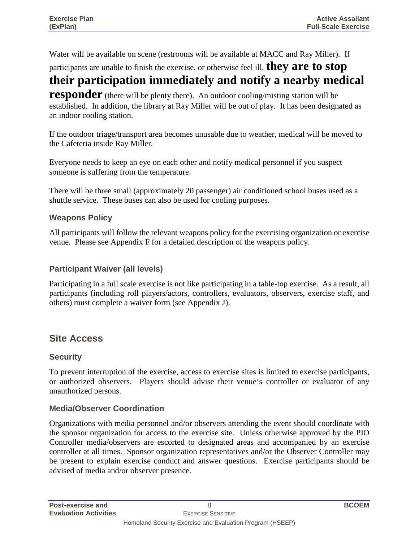Water will be available on scene (restrooms will be available at MACC and Ray Miller). If

participants are unable to finish the exercise, or otherwise feel ill, **they are to stop** 

### **their participation immediately and notify a nearby medical**

**responder** (there will be plenty there). An outdoor cooling/misting station will be established. In addition, the library at Ray Miller will be out of play. It has been designated as an indoor cooling station.

If the outdoor triage/transport area becomes unusable due to weather, medical will be moved to the Cafeteria inside Ray Miller.

Everyone needs to keep an eye on each other and notify medical personnel if you suspect someone is suffering from the temperature.

There will be three small (approximately 20 passenger) air conditioned school buses used as a shuttle service. These buses can also be used for cooling purposes.

#### **Weapons Policy**

All participants will follow the relevant weapons policy for the exercising organization or exercise venue. Please see Appendix F for a detailed description of the weapons policy.

#### **Participant Waiver (all levels)**

Participating in a full scale exercise is not like participating in a table-top exercise. As a result, all participants (including roll players/actors, controllers, evaluators, observers, exercise staff, and others) must complete a waiver form (see Appendix J).

#### **Site Access**

#### **Security**

To prevent interruption of the exercise, access to exercise sites is limited to exercise participants, or authorized observers. Players should advise their venue's controller or evaluator of any unauthorized persons.

#### **Media/Observer Coordination**

Organizations with media personnel and/or observers attending the event should coordinate with the sponsor organization for access to the exercise site. Unless otherwise approved by the PIO Controller media/observers are escorted to designated areas and accompanied by an exercise controller at all times. Sponsor organization representatives and/or the Observer Controller may be present to explain exercise conduct and answer questions. Exercise participants should be advised of media and/or observer presence.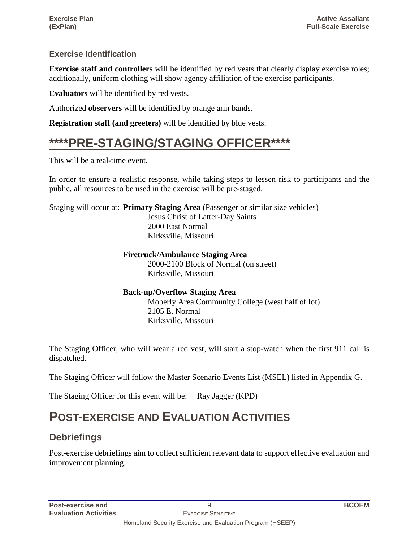#### **Exercise Identification**

**Exercise staff and controllers** will be identified by red vests that clearly display exercise roles; additionally, uniform clothing will show agency affiliation of the exercise participants.

**Evaluators** will be identified by red vests.

Authorized **observers** will be identified by orange arm bands.

**Registration staff (and greeters)** will be identified by blue vests.

### **\*\*\*\*PRE-STAGING/STAGING OFFICER\*\*\*\***

This will be a real-time event.

In order to ensure a realistic response, while taking steps to lessen risk to participants and the public, all resources to be used in the exercise will be pre-staged.

Staging will occur at: **Primary Staging Area** (Passenger or similar size vehicles)

Jesus Christ of Latter-Day Saints 2000 East Normal Kirksville, Missouri

#### **Firetruck/Ambulance Staging Area**

2000-2100 Block of Normal (on street) Kirksville, Missouri

#### **Back-up/Overflow Staging Area** Moberly Area Community College (west half of lot) 2105 E. Normal Kirksville, Missouri

The Staging Officer, who will wear a red vest, will start a stop-watch when the first 911 call is dispatched.

The Staging Officer will follow the Master Scenario Events List (MSEL) listed in Appendix G.

The Staging Officer for this event will be: Ray Jagger (KPD)

### **POST-EXERCISE AND EVALUATION ACTIVITIES**

#### **Debriefings**

Post-exercise debriefings aim to collect sufficient relevant data to support effective evaluation and improvement planning.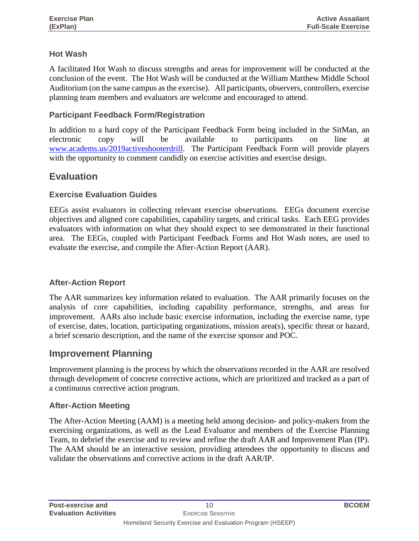#### **Hot Wash**

A facilitated Hot Wash to discuss strengths and areas for improvement will be conducted at the conclusion of the event. The Hot Wash will be conducted at the William Matthew Middle School Auditorium (on the same campus as the exercise). All participants, observers, controllers, exercise planning team members and evaluators are welcome and encouraged to attend.

#### **Participant Feedback Form/Registration**

In addition to a hard copy of the Participant Feedback Form being included in the SitMan, an electronic copy will be available to participants on line at [www.academs.us/2019activeshooterdrill.](http://www.academs.us/2019activeshooterdrill) The Participant Feedback Form will provide players with the opportunity to comment candidly on exercise activities and exercise design.

#### **Evaluation**

#### **Exercise Evaluation Guides**

EEGs assist evaluators in collecting relevant exercise observations. EEGs document exercise objectives and aligned core capabilities, capability targets, and critical tasks. Each EEG provides evaluators with information on what they should expect to see demonstrated in their functional area. The EEGs, coupled with Participant Feedback Forms and Hot Wash notes, are used to evaluate the exercise, and compile the After-Action Report (AAR).

#### **After-Action Report**

The AAR summarizes key information related to evaluation. The AAR primarily focuses on the analysis of core capabilities, including capability performance, strengths, and areas for improvement. AARs also include basic exercise information, including the exercise name, type of exercise, dates, location, participating organizations, mission area(s), specific threat or hazard, a brief scenario description, and the name of the exercise sponsor and POC.

#### **Improvement Planning**

Improvement planning is the process by which the observations recorded in the AAR are resolved through development of concrete corrective actions, which are prioritized and tracked as a part of a continuous corrective action program.

#### **After-Action Meeting**

The After-Action Meeting (AAM) is a meeting held among decision- and policy-makers from the exercising organizations, as well as the Lead Evaluator and members of the Exercise Planning Team, to debrief the exercise and to review and refine the draft AAR and Improvement Plan (IP). The AAM should be an interactive session, providing attendees the opportunity to discuss and validate the observations and corrective actions in the draft AAR/IP.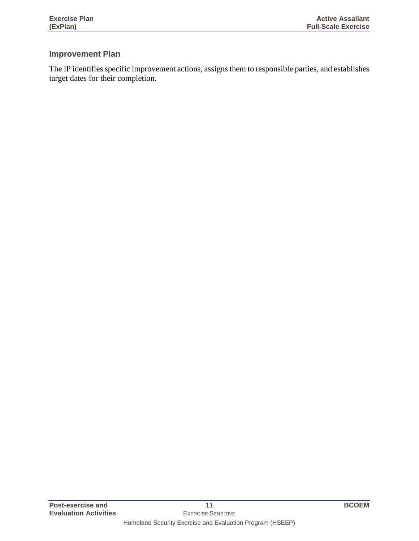#### **Improvement Plan**

The IP identifies specific improvement actions, assigns them to responsible parties, and establishes target dates for their completion.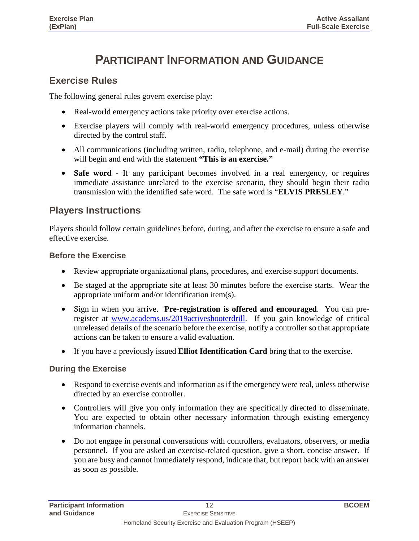### **PARTICIPANT INFORMATION AND GUIDANCE**

#### **Exercise Rules**

The following general rules govern exercise play:

- Real-world emergency actions take priority over exercise actions.
- Exercise players will comply with real-world emergency procedures, unless otherwise directed by the control staff.
- All communications (including written, radio, telephone, and e-mail) during the exercise will begin and end with the statement **"This is an exercise."**
- **Safe word** If any participant becomes involved in a real emergency, or requires immediate assistance unrelated to the exercise scenario, they should begin their radio transmission with the identified safe word. The safe word is "**ELVIS PRESLEY**."

#### **Players Instructions**

Players should follow certain guidelines before, during, and after the exercise to ensure a safe and effective exercise.

#### **Before the Exercise**

- Review appropriate organizational plans, procedures, and exercise support documents.
- Be staged at the appropriate site at least 30 minutes before the exercise starts. Wear the appropriate uniform and/or identification item(s).
- Sign in when you arrive. **Pre-registration is offered and encouraged**. You can preregister at [www.academs.us/2019activeshooterdrill.](http://www.academs.us/2019activeshooterdrill) If you gain knowledge of critical unreleased details of the scenario before the exercise, notify a controller so that appropriate actions can be taken to ensure a valid evaluation.
- If you have a previously issued **Elliot Identification Card** bring that to the exercise.

#### **During the Exercise**

- Respond to exercise events and information as if the emergency were real, unless otherwise directed by an exercise controller.
- Controllers will give you only information they are specifically directed to disseminate. You are expected to obtain other necessary information through existing emergency information channels.
- Do not engage in personal conversations with controllers, evaluators, observers, or media personnel. If you are asked an exercise-related question, give a short, concise answer. If you are busy and cannot immediately respond, indicate that, but report back with an answer as soon as possible.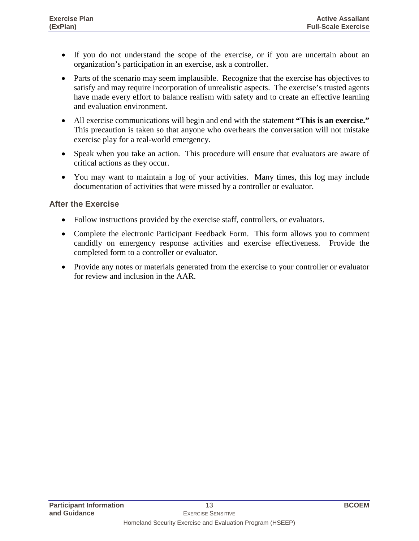- If you do not understand the scope of the exercise, or if you are uncertain about an organization's participation in an exercise, ask a controller.
- Parts of the scenario may seem implausible. Recognize that the exercise has objectives to satisfy and may require incorporation of unrealistic aspects. The exercise's trusted agents have made every effort to balance realism with safety and to create an effective learning and evaluation environment.
- All exercise communications will begin and end with the statement **"This is an exercise."** This precaution is taken so that anyone who overhears the conversation will not mistake exercise play for a real-world emergency.
- Speak when you take an action. This procedure will ensure that evaluators are aware of critical actions as they occur.
- You may want to maintain a log of your activities. Many times, this log may include documentation of activities that were missed by a controller or evaluator.

#### **After the Exercise**

- Follow instructions provided by the exercise staff, controllers, or evaluators.
- Complete the electronic Participant Feedback Form. This form allows you to comment candidly on emergency response activities and exercise effectiveness. Provide the completed form to a controller or evaluator.
- Provide any notes or materials generated from the exercise to your controller or evaluator for review and inclusion in the AAR.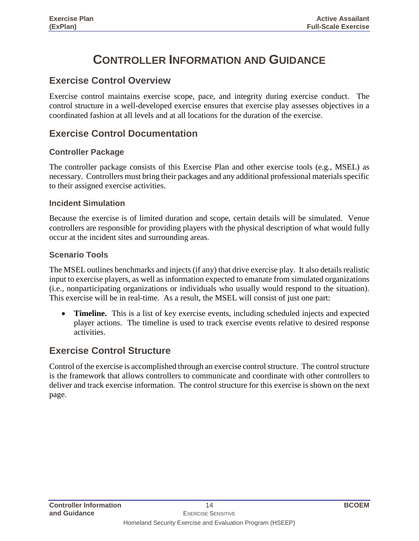### **CONTROLLER INFORMATION AND GUIDANCE**

#### **Exercise Control Overview**

Exercise control maintains exercise scope, pace, and integrity during exercise conduct. The control structure in a well-developed exercise ensures that exercise play assesses objectives in a coordinated fashion at all levels and at all locations for the duration of the exercise.

#### **Exercise Control Documentation**

#### **Controller Package**

The controller package consists of this Exercise Plan and other exercise tools (e.g., MSEL) as necessary. Controllers must bring their packages and any additional professional materials specific to their assigned exercise activities.

#### **Incident Simulation**

Because the exercise is of limited duration and scope, certain details will be simulated. Venue controllers are responsible for providing players with the physical description of what would fully occur at the incident sites and surrounding areas.

#### **Scenario Tools**

The MSEL outlines benchmarks and injects (if any) that drive exercise play. It also details realistic input to exercise players, as well as information expected to emanate from simulated organizations (i.e., nonparticipating organizations or individuals who usually would respond to the situation). This exercise will be in real-time. As a result, the MSEL will consist of just one part:

**Timeline.** This is a list of key exercise events, including scheduled injects and expected player actions. The timeline is used to track exercise events relative to desired response activities.

#### **Exercise Control Structure**

Control of the exercise is accomplished through an exercise control structure. The control structure is the framework that allows controllers to communicate and coordinate with other controllers to deliver and track exercise information. The control structure for this exercise is shown on the next page.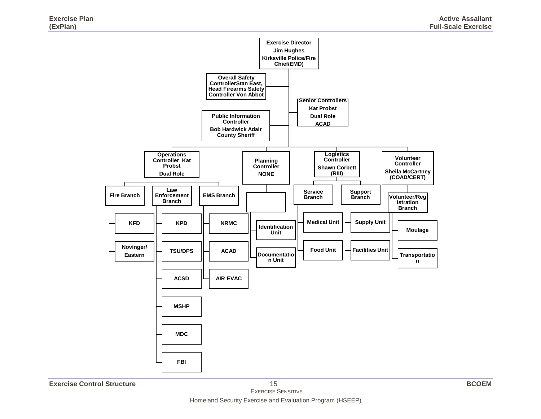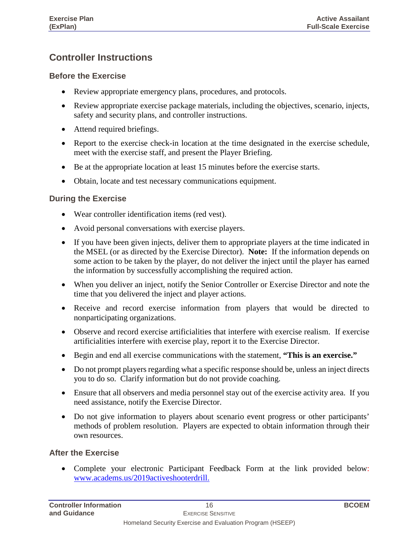#### **Controller Instructions**

#### **Before the Exercise**

- Review appropriate emergency plans, procedures, and protocols.
- Review appropriate exercise package materials, including the objectives, scenario, injects, safety and security plans, and controller instructions.
- Attend required briefings.
- Report to the exercise check-in location at the time designated in the exercise schedule, meet with the exercise staff, and present the Player Briefing.
- Be at the appropriate location at least 15 minutes before the exercise starts.
- Obtain, locate and test necessary communications equipment.

#### **During the Exercise**

- Wear controller identification items (red vest).
- Avoid personal conversations with exercise players.
- If you have been given injects, deliver them to appropriate players at the time indicated in the MSEL (or as directed by the Exercise Director). **Note:** If the information depends on some action to be taken by the player, do not deliver the inject until the player has earned the information by successfully accomplishing the required action.
- When you deliver an inject, notify the Senior Controller or Exercise Director and note the time that you delivered the inject and player actions.
- Receive and record exercise information from players that would be directed to nonparticipating organizations.
- Observe and record exercise artificialities that interfere with exercise realism. If exercise artificialities interfere with exercise play, report it to the Exercise Director.
- Begin and end all exercise communications with the statement, **"This is an exercise."**
- Do not prompt players regarding what a specific response should be, unless an inject directs you to do so. Clarify information but do not provide coaching.
- Ensure that all observers and media personnel stay out of the exercise activity area. If you need assistance, notify the Exercise Director.
- Do not give information to players about scenario event progress or other participants' methods of problem resolution. Players are expected to obtain information through their own resources.

#### **After the Exercise**

• Complete your electronic Participant Feedback Form at the link provided below: [www.academs.us/2019activeshooterdrill.](http://www.academs.us/2019activeshooterdrill)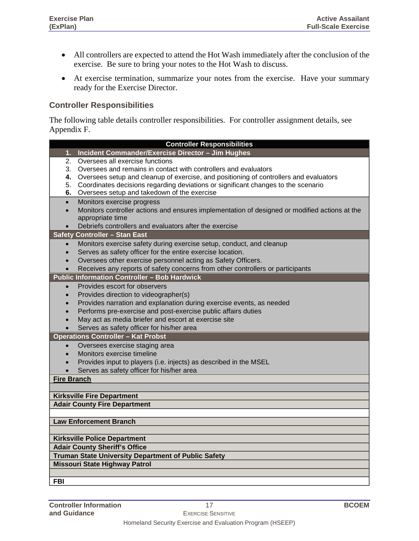- All controllers are expected to attend the Hot Wash immediately after the conclusion of the exercise. Be sure to bring your notes to the Hot Wash to discuss.
- At exercise termination, summarize your notes from the exercise. Have your summary ready for the Exercise Director.

#### **Controller Responsibilities**

The following table details controller responsibilities. For controller assignment details, see Appendix F.

|                                                                      | <b>Controller Responsibilities</b>                                                            |  |
|----------------------------------------------------------------------|-----------------------------------------------------------------------------------------------|--|
| 1.                                                                   | Incident Commander/Exercise Director - Jim Hughes                                             |  |
| 2.                                                                   | Oversees all exercise functions                                                               |  |
| 3.                                                                   | Oversees and remains in contact with controllers and evaluators                               |  |
| 4.                                                                   | Oversees setup and cleanup of exercise, and positioning of controllers and evaluators         |  |
| 5.                                                                   | Coordinates decisions regarding deviations or significant changes to the scenario             |  |
| 6.                                                                   | Oversees setup and takedown of the exercise                                                   |  |
| $\bullet$                                                            | Monitors exercise progress                                                                    |  |
| $\bullet$                                                            | Monitors controller actions and ensures implementation of designed or modified actions at the |  |
|                                                                      | appropriate time                                                                              |  |
|                                                                      | Debriefs controllers and evaluators after the exercise                                        |  |
|                                                                      | <b>Safety Controller - Stan East</b>                                                          |  |
| $\bullet$                                                            | Monitors exercise safety during exercise setup, conduct, and cleanup                          |  |
|                                                                      | Serves as safety officer for the entire exercise location.                                    |  |
|                                                                      | Oversees other exercise personnel acting as Safety Officers.                                  |  |
|                                                                      | Receives any reports of safety concerns from other controllers or participants                |  |
|                                                                      | <b>Public Information Controller - Bob Hardwick</b>                                           |  |
| $\bullet$                                                            | Provides escort for observers                                                                 |  |
| $\bullet$                                                            | Provides direction to videographer(s)                                                         |  |
| Provides narration and explanation during exercise events, as needed |                                                                                               |  |
| Performs pre-exercise and post-exercise public affairs duties        |                                                                                               |  |
| May act as media briefer and escort at exercise site                 |                                                                                               |  |
|                                                                      | Serves as safety officer for his/her area                                                     |  |
|                                                                      | <b>Operations Controller - Kat Probst</b>                                                     |  |
| $\bullet$                                                            | Oversees exercise staging area                                                                |  |
|                                                                      | Monitors exercise timeline                                                                    |  |
|                                                                      | Provides input to players (i.e. injects) as described in the MSEL                             |  |
|                                                                      | Serves as safety officer for his/her area                                                     |  |
| <b>Fire Branch</b>                                                   |                                                                                               |  |
|                                                                      |                                                                                               |  |
|                                                                      | <b>Kirksville Fire Department</b>                                                             |  |
|                                                                      | <b>Adair County Fire Department</b>                                                           |  |
|                                                                      |                                                                                               |  |
| <b>Law Enforcement Branch</b>                                        |                                                                                               |  |
|                                                                      |                                                                                               |  |
| <b>Kirksville Police Department</b>                                  |                                                                                               |  |
| <b>Adair County Sheriff's Office</b>                                 |                                                                                               |  |
| <b>Truman State University Department of Public Safety</b>           |                                                                                               |  |
| <b>Missouri State Highway Patrol</b>                                 |                                                                                               |  |
|                                                                      |                                                                                               |  |
| <b>FBI</b>                                                           |                                                                                               |  |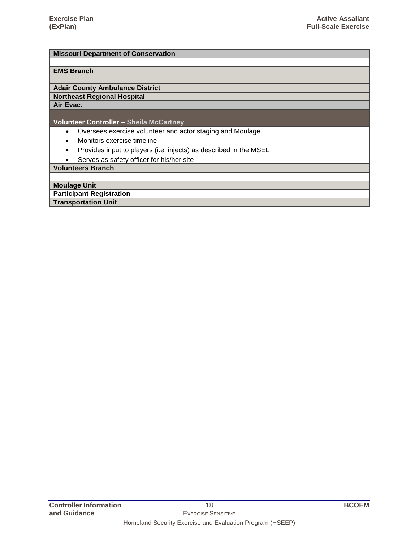#### **Missouri Department of Conservation**

#### **EMS Branch**

#### **Adair County Ambulance District**

#### **Northeast Regional Hospital**

**Air Evac.**

#### **Volunteer Controller – Sheila McCartney**

- Oversees exercise volunteer and actor staging and Moulage
- Monitors exercise timeline
- Provides input to players (i.e. injects) as described in the MSEL
- Serves as safety officer for his/her site

#### **Volunteers Branch**

**Moulage Unit**

**Participant Registration**

**Transportation Unit**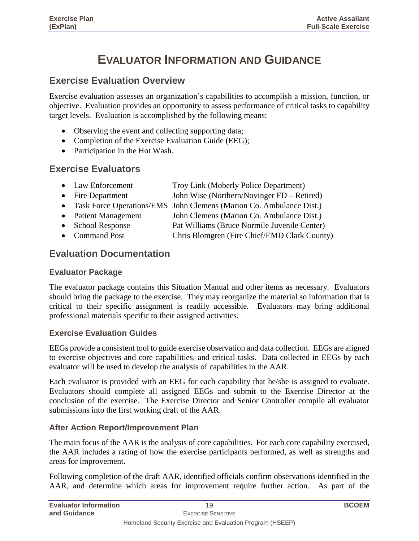### **EVALUATOR INFORMATION AND GUIDANCE**

#### **Exercise Evaluation Overview**

Exercise evaluation assesses an organization's capabilities to accomplish a mission, function, or objective. Evaluation provides an opportunity to assess performance of critical tasks to capability target levels. Evaluation is accomplished by the following means:

- Observing the event and collecting supporting data;
- Completion of the Exercise Evaluation Guide (EEG);
- Participation in the Hot Wash.

#### **Exercise Evaluators**

| • Law Enforcement | Troy Link (Moberly Police Department) |
|-------------------|---------------------------------------|
|                   |                                       |

- Fire Department John Wise (Northern/Novinger FD Retired)
- Task Force Operations/EMS John Clemens (Marion Co. Ambulance Dist.)<br>• Patient Management John Clemens (Marion Co. Ambulance Dist.)
- John Clemens (Marion Co. Ambulance Dist.)
- School Response Pat Williams (Bruce Normile Juvenile Center)
- Command Post Chris Blomgren (Fire Chief/EMD Clark County)

#### **Evaluation Documentation**

#### **Evaluator Package**

The evaluator package contains this Situation Manual and other items as necessary. Evaluators should bring the package to the exercise. They may reorganize the material so information that is critical to their specific assignment is readily accessible. Evaluators may bring additional professional materials specific to their assigned activities.

#### **Exercise Evaluation Guides**

EEGs provide a consistent tool to guide exercise observation and data collection. EEGs are aligned to exercise objectives and core capabilities, and critical tasks. Data collected in EEGs by each evaluator will be used to develop the analysis of capabilities in the AAR.

Each evaluator is provided with an EEG for each capability that he/she is assigned to evaluate. Evaluators should complete all assigned EEGs and submit to the Exercise Director at the conclusion of the exercise. The Exercise Director and Senior Controller compile all evaluator submissions into the first working draft of the AAR.

#### **After Action Report/Improvement Plan**

The main focus of the AAR is the analysis of core capabilities. For each core capability exercised, the AAR includes a rating of how the exercise participants performed, as well as strengths and areas for improvement.

Following completion of the draft AAR, identified officials confirm observations identified in the AAR, and determine which areas for improvement require further action. As part of the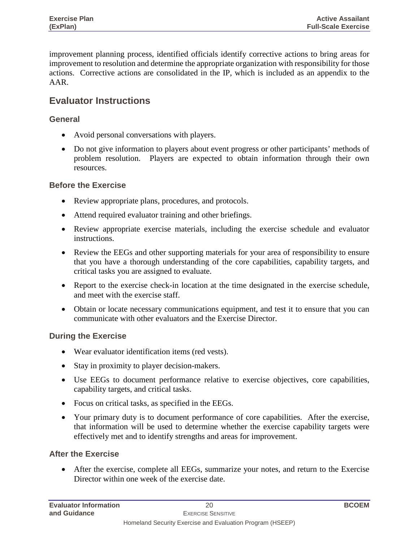improvement planning process, identified officials identify corrective actions to bring areas for improvement to resolution and determine the appropriate organization with responsibility for those actions. Corrective actions are consolidated in the IP, which is included as an appendix to the AAR.

#### **Evaluator Instructions**

#### **General**

- Avoid personal conversations with players.
- Do not give information to players about event progress or other participants' methods of problem resolution. Players are expected to obtain information through their own resources.

#### **Before the Exercise**

- Review appropriate plans, procedures, and protocols.
- Attend required evaluator training and other briefings.
- Review appropriate exercise materials, including the exercise schedule and evaluator instructions.
- Review the EEGs and other supporting materials for your area of responsibility to ensure that you have a thorough understanding of the core capabilities, capability targets, and critical tasks you are assigned to evaluate.
- Report to the exercise check-in location at the time designated in the exercise schedule, and meet with the exercise staff.
- Obtain or locate necessary communications equipment, and test it to ensure that you can communicate with other evaluators and the Exercise Director.

#### **During the Exercise**

- Wear evaluator identification items (red vests).
- Stay in proximity to player decision-makers.
- Use EEGs to document performance relative to exercise objectives, core capabilities, capability targets, and critical tasks.
- Focus on critical tasks, as specified in the EEGs.
- Your primary duty is to document performance of core capabilities. After the exercise, that information will be used to determine whether the exercise capability targets were effectively met and to identify strengths and areas for improvement.

#### **After the Exercise**

• After the exercise, complete all EEGs, summarize your notes, and return to the Exercise Director within one week of the exercise date.

| <b>Evaluator Information</b> | 20                                                        | <b>BCOEM</b> |
|------------------------------|-----------------------------------------------------------|--------------|
| and Guidance                 | EXERCISE SENSITIVE                                        |              |
|                              | Homeland Security Exercise and Evaluation Program (HSEEP) |              |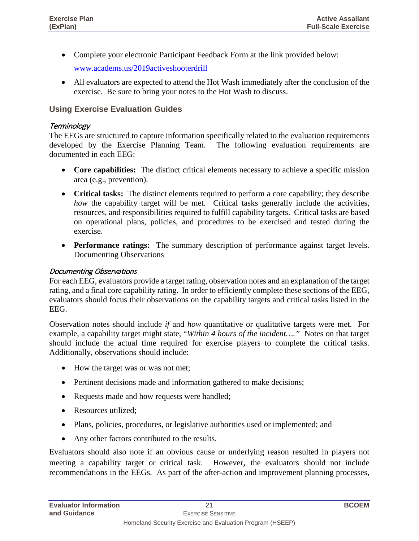• Complete your electronic Participant Feedback Form at the link provided below:

[www.academs.us/2019activeshooterdrill](http://www.academs.us/2019activeshooterdrill)

• All evaluators are expected to attend the Hot Wash immediately after the conclusion of the exercise. Be sure to bring your notes to the Hot Wash to discuss.

#### **Using Exercise Evaluation Guides**

#### **Terminology**

The EEGs are structured to capture information specifically related to the evaluation requirements developed by the Exercise Planning Team. The following evaluation requirements are documented in each EEG:

- **Core capabilities:** The distinct critical elements necessary to achieve a specific mission area (e.g., prevention).
- **Critical tasks:** The distinct elements required to perform a core capability; they describe *how* the capability target will be met. Critical tasks generally include the activities, resources, and responsibilities required to fulfill capability targets. Critical tasks are based on operational plans, policies, and procedures to be exercised and tested during the exercise.
- **Performance ratings:** The summary description of performance against target levels. Documenting Observations

#### Documenting Observations

For each EEG, evaluators provide a target rating, observation notes and an explanation of the target rating, and a final core capability rating. In order to efficiently complete these sections of the EEG, evaluators should focus their observations on the capability targets and critical tasks listed in the EEG.

Observation notes should include *if* and *how* quantitative or qualitative targets were met. For example, a capability target might state, "*Within 4 hours of the incident…."* Notes on that target should include the actual time required for exercise players to complete the critical tasks. Additionally, observations should include:

- How the target was or was not met;
- Pertinent decisions made and information gathered to make decisions;
- Requests made and how requests were handled;
- Resources utilized:
- Plans, policies, procedures, or legislative authorities used or implemented; and
- Any other factors contributed to the results.

Evaluators should also note if an obvious cause or underlying reason resulted in players not meeting a capability target or critical task. However, the evaluators should not include recommendations in the EEGs. As part of the after-action and improvement planning processes,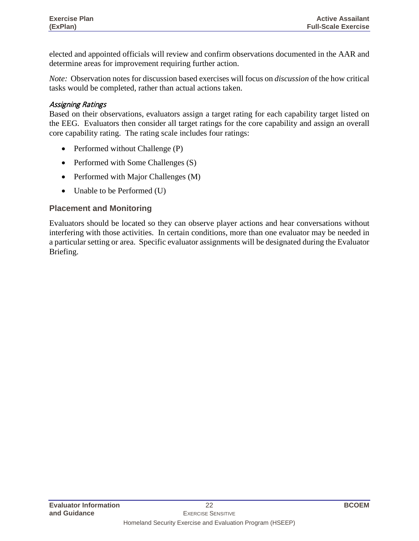elected and appointed officials will review and confirm observations documented in the AAR and determine areas for improvement requiring further action.

*Note:* Observation notes for discussion based exercises will focus on *discussion* of the how critical tasks would be completed, rather than actual actions taken.

#### Assigning Ratings

Based on their observations, evaluators assign a target rating for each capability target listed on the EEG*.* Evaluators then consider all target ratings for the core capability and assign an overall core capability rating. The rating scale includes four ratings:

- Performed without Challenge (P)
- Performed with Some Challenges (S)
- Performed with Major Challenges (M)
- Unable to be Performed (U)

#### **Placement and Monitoring**

Evaluators should be located so they can observe player actions and hear conversations without interfering with those activities. In certain conditions, more than one evaluator may be needed in a particular setting or area. Specific evaluator assignments will be designated during the Evaluator Briefing.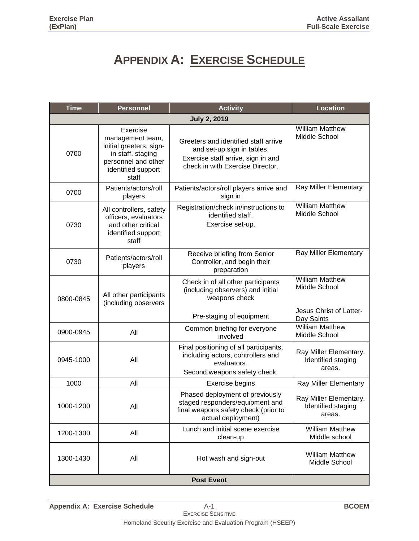### **APPENDIX A: EXERCISE SCHEDULE**

| <b>Time</b>                                                 | <b>Personnel</b>                                                                                                                   | <b>Location</b>                                                                                                                              |                                                        |  |  |  |  |  |
|-------------------------------------------------------------|------------------------------------------------------------------------------------------------------------------------------------|----------------------------------------------------------------------------------------------------------------------------------------------|--------------------------------------------------------|--|--|--|--|--|
| <b>July 2, 2019</b>                                         |                                                                                                                                    |                                                                                                                                              |                                                        |  |  |  |  |  |
| 0700                                                        | Exercise<br>management team,<br>initial greeters, sign-<br>in staff, staging<br>personnel and other<br>identified support<br>staff | Greeters and identified staff arrive<br>and set-up sign in tables.<br>Exercise staff arrive, sign in and<br>check in with Exercise Director. | <b>William Matthew</b><br>Middle School                |  |  |  |  |  |
| 0700                                                        | Patients/actors/roll<br>players                                                                                                    | Patients/actors/roll players arrive and<br>sign in                                                                                           | Ray Miller Elementary                                  |  |  |  |  |  |
| 0730                                                        | All controllers, safety<br>officers, evaluators<br>and other critical<br>identified support<br>staff                               | Registration/check in/instructions to<br>identified staff.<br>Exercise set-up.                                                               | <b>William Matthew</b><br>Middle School                |  |  |  |  |  |
| 0730                                                        | Patients/actors/roll<br>players                                                                                                    | Receive briefing from Senior<br>Controller, and begin their<br>preparation                                                                   | Ray Miller Elementary                                  |  |  |  |  |  |
| All other participants<br>0800-0845<br>(including observers |                                                                                                                                    | Check in of all other participants<br>(including observers) and initial<br>weapons check                                                     | <b>William Matthew</b><br>Middle School                |  |  |  |  |  |
|                                                             |                                                                                                                                    | Pre-staging of equipment                                                                                                                     | Jesus Christ of Latter-<br>Day Saints                  |  |  |  |  |  |
| 0900-0945                                                   | All                                                                                                                                | Common briefing for everyone<br>involved                                                                                                     | <b>William Matthew</b><br>Middle School                |  |  |  |  |  |
| 0945-1000                                                   | All                                                                                                                                | Final positioning of all participants,<br>including actors, controllers and<br>evaluators.<br>Second weapons safety check.                   | Ray Miller Elementary.<br>Identified staging<br>areas. |  |  |  |  |  |
| 1000                                                        | All                                                                                                                                | Exercise begins                                                                                                                              | Ray Miller Elementary                                  |  |  |  |  |  |
| 1000-1200                                                   | All                                                                                                                                | Phased deployment of previously<br>staged responders/equipment and<br>final weapons safety check (prior to<br>actual deployment)             | Ray Miller Elementary.<br>Identified staging<br>areas. |  |  |  |  |  |
| 1200-1300                                                   | All                                                                                                                                | Lunch and initial scene exercise<br>clean-up                                                                                                 | <b>William Matthew</b><br>Middle school                |  |  |  |  |  |
| 1300-1430                                                   | All                                                                                                                                | Hot wash and sign-out                                                                                                                        | <b>William Matthew</b><br>Middle School                |  |  |  |  |  |
| <b>Post Event</b>                                           |                                                                                                                                    |                                                                                                                                              |                                                        |  |  |  |  |  |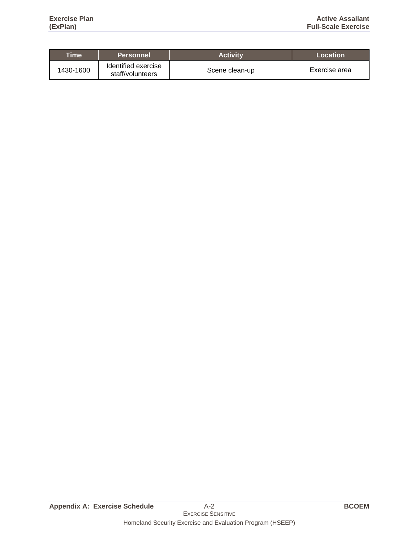| Time      | <b>Personnel</b>                        | <b>Activity</b> | Location      |
|-----------|-----------------------------------------|-----------------|---------------|
| 1430-1600 | Identified exercise<br>staff/volunteers | Scene clean-up  | Exercise area |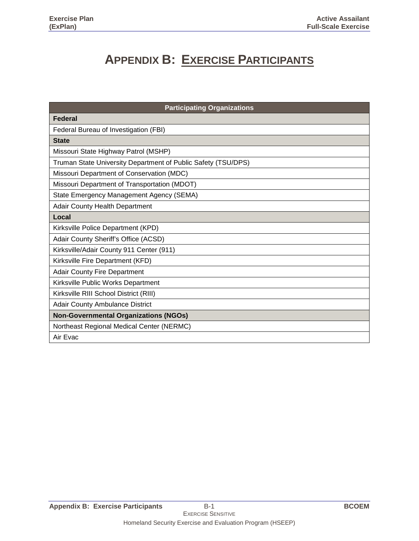### **APPENDIX B: EXERCISE PARTICIPANTS**

| <b>Participating Organizations</b>                            |
|---------------------------------------------------------------|
| <b>Federal</b>                                                |
| Federal Bureau of Investigation (FBI)                         |
| <b>State</b>                                                  |
| Missouri State Highway Patrol (MSHP)                          |
| Truman State University Department of Public Safety (TSU/DPS) |
| Missouri Department of Conservation (MDC)                     |
| Missouri Department of Transportation (MDOT)                  |
| State Emergency Management Agency (SEMA)                      |
| Adair County Health Department                                |
| Local                                                         |
| Kirksville Police Department (KPD)                            |
| Adair County Sheriff's Office (ACSD)                          |
| Kirksville/Adair County 911 Center (911)                      |
| Kirksville Fire Department (KFD)                              |
| <b>Adair County Fire Department</b>                           |
| Kirksville Public Works Department                            |
| Kirksville RIII School District (RIII)                        |
| <b>Adair County Ambulance District</b>                        |
| <b>Non-Governmental Organizations (NGOs)</b>                  |
| Northeast Regional Medical Center (NERMC)                     |
| Air Evac                                                      |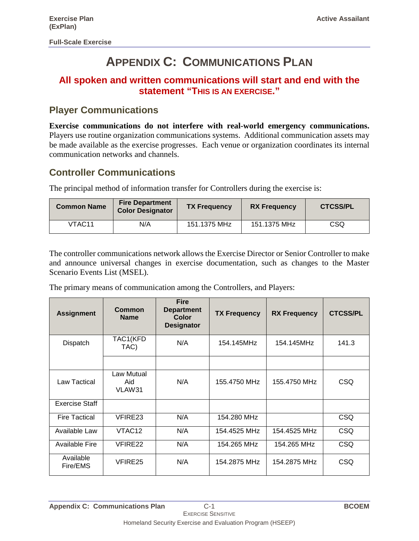### **APPENDIX C: COMMUNICATIONS PLAN**

#### **All spoken and written communications will start and end with the statement "THIS IS AN EXERCISE."**

#### **Player Communications**

**Exercise communications do not interfere with real-world emergency communications.**  Players use routine organization communications systems. Additional communication assets may be made available as the exercise progresses. Each venue or organization coordinates its internal communication networks and channels.

#### **Controller Communications**

The principal method of information transfer for Controllers during the exercise is:

| <b>Common Name</b> | <b>Fire Department</b><br><b>Color Designator</b> | <b>TX Frequency</b> | <b>RX Frequency</b> | <b>CTCSS/PL</b> |
|--------------------|---------------------------------------------------|---------------------|---------------------|-----------------|
| VTAC <sub>11</sub> | N/A                                               | 151.1375 MHz        | 151.1375 MHz        | CSQ             |

The controller communications network allows the Exercise Director or Senior Controller to make and announce universal changes in exercise documentation, such as changes to the Master Scenario Events List (MSEL).

The primary means of communication among the Controllers, and Players:

| <b>Assignment</b>     | Common<br><b>Name</b>       | <b>Fire</b><br><b>Department</b><br><b>Color</b><br><b>Designator</b> | <b>TX Frequency</b> | <b>RX Frequency</b> | <b>CTCSS/PL</b> |
|-----------------------|-----------------------------|-----------------------------------------------------------------------|---------------------|---------------------|-----------------|
| Dispatch              | TAC1(KFD<br>TAC)            | N/A                                                                   | 154.145MHz          | 154.145MHz          | 141.3           |
|                       |                             |                                                                       |                     |                     |                 |
| Law Tactical          | Law Mutual<br>Aid<br>VLAW31 | N/A                                                                   | 155.4750 MHz        | 155.4750 MHz        | CSQ             |
| <b>Exercise Staff</b> |                             |                                                                       |                     |                     |                 |
| <b>Fire Tactical</b>  | VFIRE23                     | N/A                                                                   | 154.280 MHz         |                     | <b>CSQ</b>      |
| Available Law         | VTAC <sub>12</sub>          | N/A                                                                   | 154.4525 MHz        | 154.4525 MHz        | <b>CSQ</b>      |
| <b>Available Fire</b> | VFIRE22                     | N/A                                                                   | 154.265 MHz         | 154.265 MHz         | <b>CSQ</b>      |
| Available<br>Fire/EMS | VFIRE25                     | N/A                                                                   | 154.2875 MHz        | 154.2875 MHz        | CSQ             |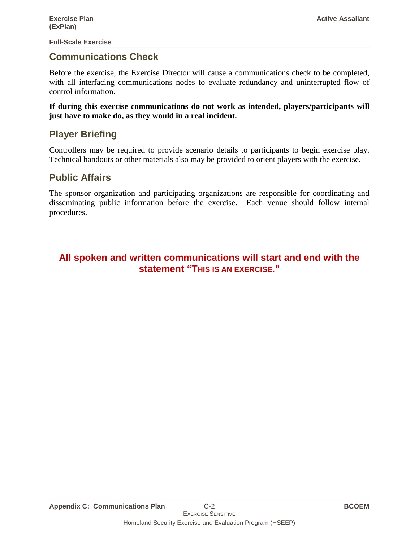#### **Communications Check**

Before the exercise, the Exercise Director will cause a communications check to be completed, with all interfacing communications nodes to evaluate redundancy and uninterrupted flow of control information.

**If during this exercise communications do not work as intended, players/participants will just have to make do, as they would in a real incident.**

#### **Player Briefing**

Controllers may be required to provide scenario details to participants to begin exercise play. Technical handouts or other materials also may be provided to orient players with the exercise.

#### **Public Affairs**

The sponsor organization and participating organizations are responsible for coordinating and disseminating public information before the exercise. Each venue should follow internal procedures.

#### **All spoken and written communications will start and end with the statement "THIS IS AN EXERCISE."**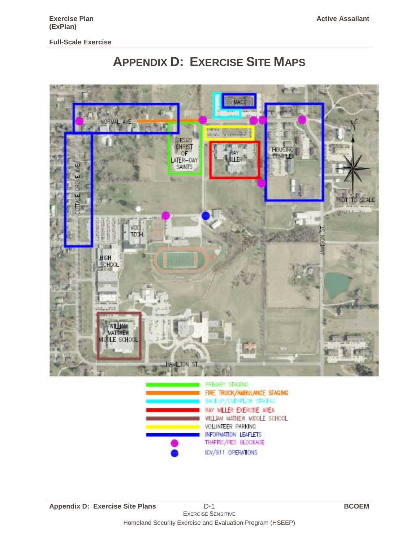



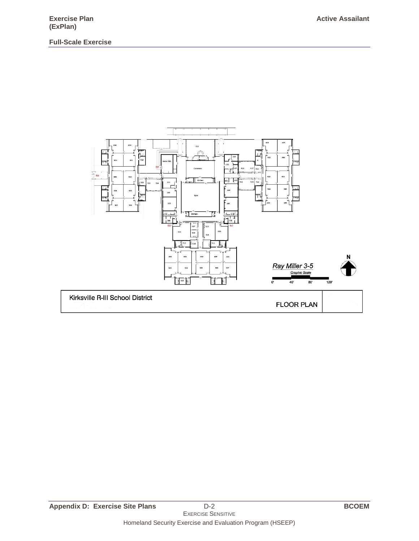

Homeland Security Exercise and Evaluation Program (HSEEP)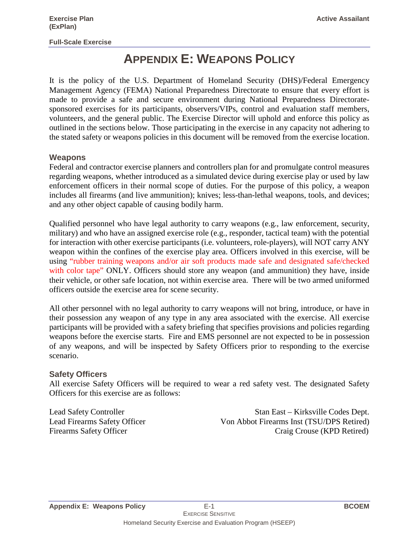### **APPENDIX E: WEAPONS POLICY**

It is the policy of the U.S. Department of Homeland Security (DHS)/Federal Emergency Management Agency (FEMA) National Preparedness Directorate to ensure that every effort is made to provide a safe and secure environment during National Preparedness Directoratesponsored exercises for its participants, observers/VIPs, control and evaluation staff members, volunteers, and the general public. The Exercise Director will uphold and enforce this policy as outlined in the sections below. Those participating in the exercise in any capacity not adhering to the stated safety or weapons policies in this document will be removed from the exercise location.

#### **Weapons**

Federal and contractor exercise planners and controllers plan for and promulgate control measures regarding weapons, whether introduced as a simulated device during exercise play or used by law enforcement officers in their normal scope of duties. For the purpose of this policy, a weapon includes all firearms (and live ammunition); knives; less-than-lethal weapons, tools, and devices; and any other object capable of causing bodily harm.

Qualified personnel who have legal authority to carry weapons (e.g., law enforcement, security, military) and who have an assigned exercise role (e.g., responder, tactical team) with the potential for interaction with other exercise participants (i.e. volunteers, role-players), will NOT carry ANY weapon within the confines of the exercise play area. Officers involved in this exercise, will be using "rubber training weapons and/or air soft products made safe and designated safe/checked with color tape" ONLY. Officers should store any weapon (and ammunition) they have, inside their vehicle, or other safe location, not within exercise area. There will be two armed uniformed officers outside the exercise area for scene security.

All other personnel with no legal authority to carry weapons will not bring, introduce, or have in their possession any weapon of any type in any area associated with the exercise. All exercise participants will be provided with a safety briefing that specifies provisions and policies regarding weapons before the exercise starts. Fire and EMS personnel are not expected to be in possession of any weapons, and will be inspected by Safety Officers prior to responding to the exercise scenario.

#### **Safety Officers**

All exercise Safety Officers will be required to wear a red safety vest. The designated Safety Officers for this exercise are as follows:

Lead Safety Controller Stan East – Kirksville Codes Dept.<br>
Lead Firearms Safety Officer Stan East – Kirksville Codes Dept.<br>
Von Abbot Firearms Inst (TSU/DPS Retired) Von Abbot Firearms Inst (TSU/DPS Retired) Firearms Safety Officer Craig Crouse (KPD Retired)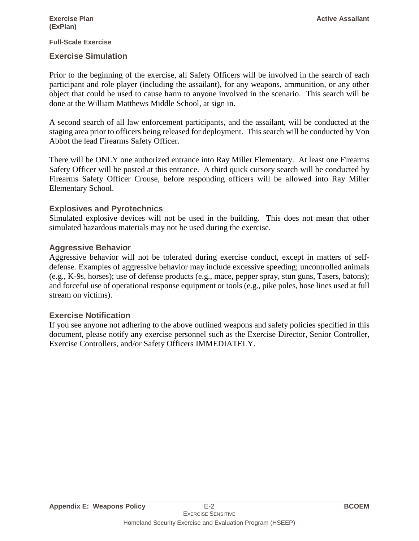#### **Exercise Simulation**

Prior to the beginning of the exercise, all Safety Officers will be involved in the search of each participant and role player (including the assailant), for any weapons, ammunition, or any other object that could be used to cause harm to anyone involved in the scenario. This search will be done at the William Matthews Middle School, at sign in.

A second search of all law enforcement participants, and the assailant, will be conducted at the staging area prior to officers being released for deployment. This search will be conducted by Von Abbot the lead Firearms Safety Officer.

There will be ONLY one authorized entrance into Ray Miller Elementary. At least one Firearms Safety Officer will be posted at this entrance. A third quick cursory search will be conducted by Firearms Safety Officer Crouse, before responding officers will be allowed into Ray Miller Elementary School.

#### **Explosives and Pyrotechnics**

Simulated explosive devices will not be used in the building. This does not mean that other simulated hazardous materials may not be used during the exercise.

#### **Aggressive Behavior**

Aggressive behavior will not be tolerated during exercise conduct, except in matters of selfdefense. Examples of aggressive behavior may include excessive speeding; uncontrolled animals (e.g., K-9s, horses); use of defense products (e.g., mace, pepper spray, stun guns, Tasers, batons); and forceful use of operational response equipment or tools (e.g., pike poles, hose lines used at full stream on victims).

#### **Exercise Notification**

If you see anyone not adhering to the above outlined weapons and safety policies specified in this document, please notify any exercise personnel such as the Exercise Director, Senior Controller, Exercise Controllers, and/or Safety Officers IMMEDIATELY.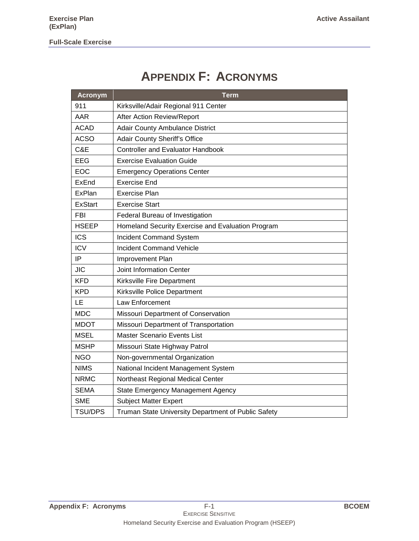### **APPENDIX F: ACRONYMS**

| <b>Acronym</b> | <b>Term</b>                                         |
|----------------|-----------------------------------------------------|
| 911            | Kirksville/Adair Regional 911 Center                |
| AAR            | After Action Review/Report                          |
| <b>ACAD</b>    | <b>Adair County Ambulance District</b>              |
| <b>ACSO</b>    | <b>Adair County Sheriff's Office</b>                |
| C&E            | <b>Controller and Evaluator Handbook</b>            |
| <b>EEG</b>     | <b>Exercise Evaluation Guide</b>                    |
| <b>EOC</b>     | <b>Emergency Operations Center</b>                  |
| <b>ExEnd</b>   | <b>Exercise End</b>                                 |
| ExPlan         | <b>Exercise Plan</b>                                |
| <b>ExStart</b> | <b>Exercise Start</b>                               |
| <b>FBI</b>     | Federal Bureau of Investigation                     |
| <b>HSEEP</b>   | Homeland Security Exercise and Evaluation Program   |
| <b>ICS</b>     | Incident Command System                             |
| <b>ICV</b>     | <b>Incident Command Vehicle</b>                     |
| IP             | Improvement Plan                                    |
| <b>JIC</b>     | <b>Joint Information Center</b>                     |
| <b>KFD</b>     | Kirksville Fire Department                          |
| <b>KPD</b>     | Kirksville Police Department                        |
| LE             | Law Enforcement                                     |
| <b>MDC</b>     | Missouri Department of Conservation                 |
| <b>MDOT</b>    | Missouri Department of Transportation               |
| <b>MSEL</b>    | <b>Master Scenario Events List</b>                  |
| <b>MSHP</b>    | Missouri State Highway Patrol                       |
| <b>NGO</b>     | Non-governmental Organization                       |
| <b>NIMS</b>    | National Incident Management System                 |
| <b>NRMC</b>    | Northeast Regional Medical Center                   |
| <b>SEMA</b>    | <b>State Emergency Management Agency</b>            |
| <b>SME</b>     | <b>Subject Matter Expert</b>                        |
| <b>TSU/DPS</b> | Truman State University Department of Public Safety |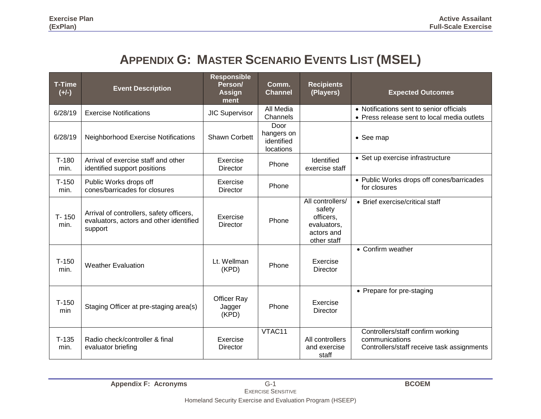### **APPENDIX G: MASTER SCENARIO EVENTS LIST (MSEL)**

| <b>T-Time</b><br>$(+/-)$ | <b>Event Description</b>                                                                       | <b>Responsible</b><br>Person/<br><b>Assign</b><br>ment | Comm.<br><b>Channel</b>                       | <b>Recipients</b><br>(Players)                                                      | <b>Expected Outcomes</b>                                                                          |
|--------------------------|------------------------------------------------------------------------------------------------|--------------------------------------------------------|-----------------------------------------------|-------------------------------------------------------------------------------------|---------------------------------------------------------------------------------------------------|
| 6/28/19                  | <b>Exercise Notifications</b>                                                                  | <b>JIC Supervisor</b>                                  | All Media<br>Channels                         |                                                                                     | • Notifications sent to senior officials<br>• Press release sent to local media outlets           |
| 6/28/19                  | <b>Neighborhood Exercise Notifications</b>                                                     | Shawn Corbett                                          | Door<br>hangers on<br>identified<br>locations |                                                                                     | • See map                                                                                         |
| $T-180$<br>min.          | Arrival of exercise staff and other<br>identified support positions                            | Exercise<br><b>Director</b>                            | Phone                                         | Identified<br>exercise staff                                                        | • Set up exercise infrastructure                                                                  |
| $T-150$<br>min.          | Public Works drops off<br>cones/barricades for closures                                        | Exercise<br><b>Director</b>                            | Phone                                         |                                                                                     | • Public Works drops off cones/barricades<br>for closures                                         |
| $T - 150$<br>min.        | Arrival of controllers, safety officers,<br>evaluators, actors and other identified<br>support | Exercise<br><b>Director</b>                            | Phone                                         | All controllers/<br>safety<br>officers,<br>evaluators,<br>actors and<br>other staff | • Brief exercise/critical staff                                                                   |
| $T-150$<br>min.          | <b>Weather Evaluation</b>                                                                      | Lt. Wellman<br>(KPD)                                   | Phone                                         | Exercise<br>Director                                                                | • Confirm weather                                                                                 |
| $T-150$<br>min           | Staging Officer at pre-staging area(s)                                                         | Officer Ray<br>Jagger<br>(KPD)                         | Phone                                         | Exercise<br><b>Director</b>                                                         | • Prepare for pre-staging                                                                         |
| $T-135$<br>min.          | Radio check/controller & final<br>evaluator briefing                                           | Exercise<br>Director                                   | VTAC11                                        | All controllers<br>and exercise<br>staff                                            | Controllers/staff confirm working<br>communications<br>Controllers/staff receive task assignments |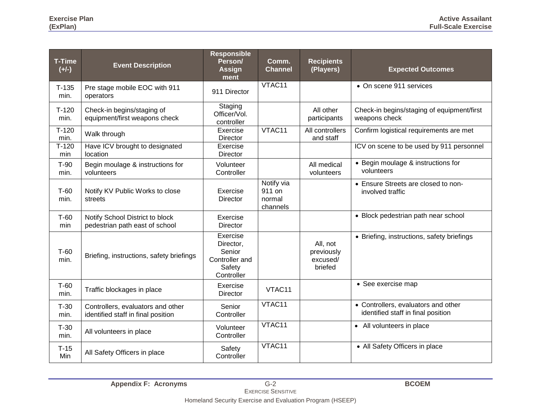| <b>T-Time</b><br>$(+/-)$ | <b>Event Description</b>                                                | <b>Responsible</b><br>Person/<br><b>Assign</b><br>ment                    | Comm.<br><b>Channel</b>                    | <b>Recipients</b><br>(Players)                | <b>Expected Outcomes</b>                                                  |
|--------------------------|-------------------------------------------------------------------------|---------------------------------------------------------------------------|--------------------------------------------|-----------------------------------------------|---------------------------------------------------------------------------|
| $T-135$<br>min.          | Pre stage mobile EOC with 911<br>operators                              | 911 Director                                                              | VTAC11                                     |                                               | • On scene 911 services                                                   |
| $T-120$<br>min.          | Check-in begins/staging of<br>equipment/first weapons check             | Staging<br>Officer/Vol.<br>controller                                     |                                            | All other<br>participants                     | Check-in begins/staging of equipment/first<br>weapons check               |
| $T-120$<br>min.          | Walk through                                                            | Exercise<br><b>Director</b>                                               | VTAC11                                     | All controllers<br>and staff                  | Confirm logistical requirements are met                                   |
| $T-120$<br>min           | Have ICV brought to designated<br>location                              | Exercise<br><b>Director</b>                                               |                                            |                                               | ICV on scene to be used by 911 personnel                                  |
| $T-90$<br>min.           | Begin moulage & instructions for<br>volunteers                          | Volunteer<br>Controller                                                   |                                            | All medical<br>volunteers                     | • Begin moulage & instructions for<br>volunteers                          |
| $T-60$<br>min.           | Notify KV Public Works to close<br>streets                              | Exercise<br>Director                                                      | Notify via<br>911 on<br>normal<br>channels |                                               | • Ensure Streets are closed to non-<br>involved traffic                   |
| $T-60$<br>min            | Notify School District to block<br>pedestrian path east of school       | Exercise<br><b>Director</b>                                               |                                            |                                               | • Block pedestrian path near school                                       |
| $T-60$<br>min.           | Briefing, instructions, safety briefings                                | Exercise<br>Director,<br>Senior<br>Controller and<br>Safety<br>Controller |                                            | All, not<br>previously<br>excused/<br>briefed | • Briefing, instructions, safety briefings                                |
| $T-60$<br>min.           | Traffic blockages in place                                              | Exercise<br>Director                                                      | VTAC11                                     |                                               | • See exercise map                                                        |
| $T-30$<br>min.           | Controllers, evaluators and other<br>identified staff in final position | Senior<br>Controller                                                      | VTAC11                                     |                                               | • Controllers, evaluators and other<br>identified staff in final position |
| $T-30$<br>min.           | All volunteers in place                                                 | Volunteer<br>Controller                                                   | VTAC11                                     |                                               | • All volunteers in place                                                 |
| $T-15$<br>Min            | All Safety Officers in place                                            | Safety<br>Controller                                                      | VTAC11                                     |                                               | • All Safety Officers in place                                            |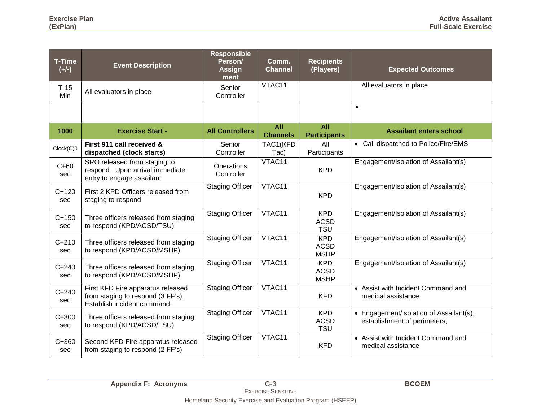| <b>T-Time</b><br>$(+/-)$ | <b>Event Description</b>                                                                              | <b>Responsible</b><br>Person/<br><b>Assign</b><br>ment | Comm.<br><b>Channel</b>       | <b>Recipients</b><br>(Players)           | <b>Expected Outcomes</b>                                                |
|--------------------------|-------------------------------------------------------------------------------------------------------|--------------------------------------------------------|-------------------------------|------------------------------------------|-------------------------------------------------------------------------|
| $T-15$<br>Min            | All evaluators in place                                                                               | Senior<br>Controller                                   | VTAC11                        |                                          | All evaluators in place                                                 |
|                          |                                                                                                       |                                                        |                               |                                          | $\bullet$                                                               |
| 1000                     | <b>Exercise Start -</b>                                                                               | <b>All Controllers</b>                                 | <b>All</b><br><b>Channels</b> | All<br><b>Participants</b>               | <b>Assailant enters school</b>                                          |
| Clock(C)0                | First 911 call received &<br>dispatched (clock starts)                                                | Senior<br>Controller                                   | TAC1(KFD<br>Tac)              | All<br>Participants                      | • Call dispatched to Police/Fire/EMS                                    |
| $C+60$<br>sec            | SRO released from staging to<br>respond. Upon arrival immediate<br>entry to engage assailant          | Operations<br>Controller                               | VTAC11                        | <b>KPD</b>                               | Engagement/Isolation of Assailant(s)                                    |
| $C+120$<br>sec           | First 2 KPD Officers released from<br>staging to respond                                              | <b>Staging Officer</b>                                 | VTAC11                        | <b>KPD</b>                               | Engagement/Isolation of Assailant(s)                                    |
| $C+150$<br>sec           | Three officers released from staging<br>to respond (KPD/ACSD/TSU)                                     | <b>Staging Officer</b>                                 | VTAC11                        | <b>KPD</b><br><b>ACSD</b><br><b>TSU</b>  | Engagement/Isolation of Assailant(s)                                    |
| $C + 210$<br>sec         | Three officers released from staging<br>to respond (KPD/ACSD/MSHP)                                    | <b>Staging Officer</b>                                 | VTAC11                        | <b>KPD</b><br><b>ACSD</b><br><b>MSHP</b> | Engagement/Isolation of Assailant(s)                                    |
| $C + 240$<br>sec         | Three officers released from staging<br>to respond (KPD/ACSD/MSHP)                                    | <b>Staging Officer</b>                                 | VTAC11                        | <b>KPD</b><br><b>ACSD</b><br><b>MSHP</b> | Engagement/Isolation of Assailant(s)                                    |
| $C + 240$<br>sec         | First KFD Fire apparatus released<br>from staging to respond (3 FF's).<br>Establish incident command. | <b>Staging Officer</b>                                 | VTAC11                        | <b>KFD</b>                               | • Assist with Incident Command and<br>medical assistance                |
| $C + 300$<br>sec         | Three officers released from staging<br>to respond (KPD/ACSD/TSU)                                     | <b>Staging Officer</b>                                 | VTAC11                        | <b>KPD</b><br><b>ACSD</b><br><b>TSU</b>  | • Engagement/Isolation of Assailant(s),<br>establishment of perimeters, |
| $C + 360$<br>sec         | Second KFD Fire apparatus released<br>from staging to respond (2 FF's)                                | <b>Staging Officer</b>                                 | VTAC11                        | <b>KFD</b>                               | • Assist with Incident Command and<br>medical assistance                |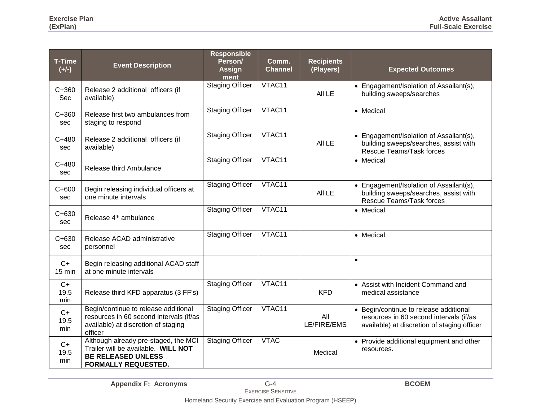| <b>T-Time</b><br>$(+/-)$ | <b>Event Description</b>                                                                                                               | <b>Responsible</b><br>Person/<br>Assign<br>ment | Comm.<br><b>Channel</b> | <b>Recipients</b><br>(Players) | <b>Expected Outcomes</b>                                                                                                         |
|--------------------------|----------------------------------------------------------------------------------------------------------------------------------------|-------------------------------------------------|-------------------------|--------------------------------|----------------------------------------------------------------------------------------------------------------------------------|
| $C + 360$<br>Sec         | Release 2 additional officers (if<br>available)                                                                                        | <b>Staging Officer</b>                          | VTAC11                  | All LE                         | • Engagement/Isolation of Assailant(s),<br>building sweeps/searches                                                              |
| $C + 360$<br>sec         | Release first two ambulances from<br>staging to respond                                                                                | <b>Staging Officer</b>                          | VTAC11                  |                                | • Medical                                                                                                                        |
| $C + 480$<br>sec         | Release 2 additional officers (if<br>available)                                                                                        | <b>Staging Officer</b>                          | VTAC11                  | All LE                         | • Engagement/Isolation of Assailant(s),<br>building sweeps/searches, assist with<br>Rescue Teams/Task forces                     |
| $C + 480$<br>sec         | Release third Ambulance                                                                                                                | <b>Staging Officer</b>                          | VTAC11                  |                                | • Medical                                                                                                                        |
| $C + 600$<br>sec         | Begin releasing individual officers at<br>one minute intervals                                                                         | <b>Staging Officer</b>                          | VTAC11                  | All LE                         | • Engagement/Isolation of Assailant(s),<br>building sweeps/searches, assist with<br>Rescue Teams/Task forces                     |
| $C + 630$<br>sec         | Release 4 <sup>th</sup> ambulance                                                                                                      | <b>Staging Officer</b>                          | VTAC11                  |                                | • Medical                                                                                                                        |
| $C + 630$<br>sec         | Release ACAD administrative<br>personnel                                                                                               | <b>Staging Officer</b>                          | VTAC11                  |                                | • Medical                                                                                                                        |
| $C+$<br>15 min           | Begin releasing additional ACAD staff<br>at one minute intervals                                                                       |                                                 |                         |                                | $\bullet$                                                                                                                        |
| $C+$<br>19.5<br>min      | Release third KFD apparatus (3 FF's)                                                                                                   | <b>Staging Officer</b>                          | VTAC11                  | <b>KFD</b>                     | • Assist with Incident Command and<br>medical assistance                                                                         |
| $C+$<br>19.5<br>min      | Begin/continue to release additional<br>resources in 60 second intervals (if/as<br>available) at discretion of staging<br>officer      | <b>Staging Officer</b>                          | VTAC11                  | All<br>LE/FIRE/EMS             | • Begin/continue to release additional<br>resources in 60 second intervals (if/as<br>available) at discretion of staging officer |
| C+<br>19.5<br>min        | Although already pre-staged, the MCI<br>Trailer will be available. WILL NOT<br><b>BE RELEASED UNLESS</b><br><b>FORMALLY REQUESTED.</b> | <b>Staging Officer</b>                          | <b>VTAC</b>             | Medical                        | • Provide additional equipment and other<br>resources.                                                                           |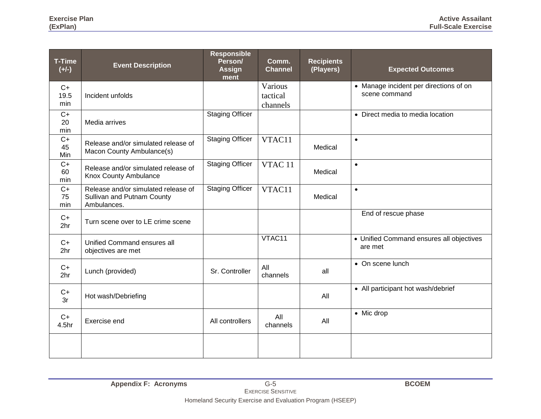| <b>T-Time</b><br>$(+/-)$ | <b>Event Description</b>                                                         | <b>Responsible</b><br>Person/<br><b>Assign</b><br>ment | Comm.<br><b>Channel</b>         | <b>Recipients</b><br>(Players) | <b>Expected Outcomes</b>                                |
|--------------------------|----------------------------------------------------------------------------------|--------------------------------------------------------|---------------------------------|--------------------------------|---------------------------------------------------------|
| $C+$<br>19.5<br>min      | Incident unfolds                                                                 |                                                        | Various<br>tactical<br>channels |                                | • Manage incident per directions of on<br>scene command |
| $C+$<br>20<br>min        | Media arrives                                                                    | <b>Staging Officer</b>                                 |                                 |                                | • Direct media to media location                        |
| $C+$<br>45<br>Min        | Release and/or simulated release of<br>Macon County Ambulance(s)                 | <b>Staging Officer</b>                                 | VTAC11                          | Medical                        | $\bullet$                                               |
| $C+$<br>60<br>min        | Release and/or simulated release of<br>Knox County Ambulance                     | <b>Staging Officer</b>                                 | VTAC <sub>11</sub>              | Medical                        | $\bullet$                                               |
| $C+$<br>75<br>min        | Release and/or simulated release of<br>Sullivan and Putnam County<br>Ambulances. | <b>Staging Officer</b>                                 | VTAC11                          | Medical                        | $\bullet$                                               |
| $C+$<br>2 <sub>hr</sub>  | Turn scene over to LE crime scene                                                |                                                        |                                 |                                | End of rescue phase                                     |
| $C+$<br>2 <sub>hr</sub>  | Unified Command ensures all<br>objectives are met                                |                                                        | VTAC11                          |                                | • Unified Command ensures all objectives<br>are met     |
| $C+$<br>2 <sub>hr</sub>  | Lunch (provided)                                                                 | Sr. Controller                                         | All<br>channels                 | all                            | • On scene lunch                                        |
| $C+$<br>3r               | Hot wash/Debriefing                                                              |                                                        |                                 | All                            | • All participant hot wash/debrief                      |
| $C+$<br>4.5hr            | Exercise end                                                                     | All controllers                                        | All<br>channels                 | All                            | • Mic drop                                              |
|                          |                                                                                  |                                                        |                                 |                                |                                                         |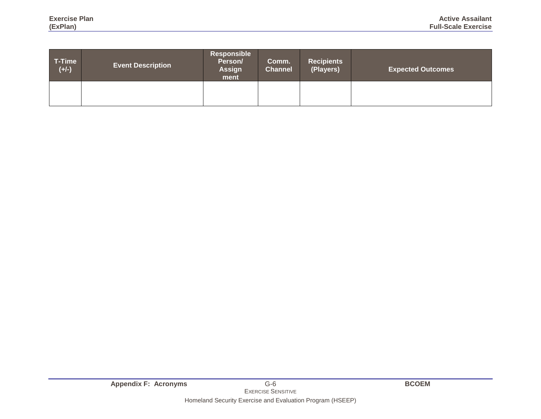| T-Time<br>$(+/-)$ | <b>Event Description</b> | Responsible<br>Person/<br><b>Assign</b><br>ment | Comm.<br><b>Channel</b> | <b>Recipients</b><br>(Players) | <b>Expected Outcomes</b> |  |  |  |  |
|-------------------|--------------------------|-------------------------------------------------|-------------------------|--------------------------------|--------------------------|--|--|--|--|
|                   |                          |                                                 |                         |                                |                          |  |  |  |  |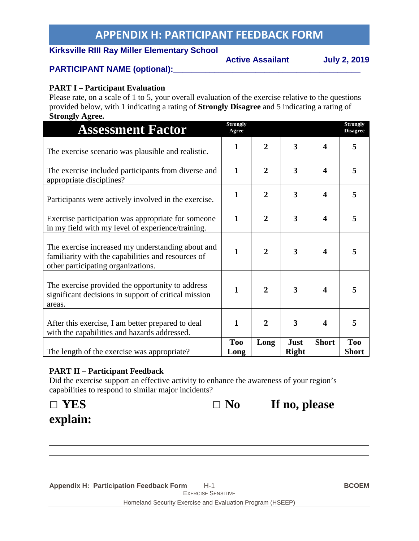### **APPENDIX H: PARTICIPANT FEEDBACK FORM**

#### **Kirksville RIII Ray Miller Elementary School**

**Active Assailant July 2, 2019**

#### PARTICIPANT NAME (optional):

#### **PART I – Participant Evaluation**

Please rate, on a scale of 1 to 5, your overall evaluation of the exercise relative to the questions provided below, with 1 indicating a rating of **Strongly Disagree** and 5 indicating a rating of **Strongly Agree.**

| <b>Assessment Factor</b>                                                                                                                      | <b>Strongly</b><br>Agree |                |                             |              | <b>Strongly</b><br><b>Disagree</b> |
|-----------------------------------------------------------------------------------------------------------------------------------------------|--------------------------|----------------|-----------------------------|--------------|------------------------------------|
| The exercise scenario was plausible and realistic.                                                                                            | 1                        | $\overline{2}$ | 3                           | 4            | 5                                  |
| The exercise included participants from diverse and<br>appropriate disciplines?                                                               | $\mathbf{1}$             | $\overline{2}$ | 3                           | 4            | 5                                  |
| Participants were actively involved in the exercise.                                                                                          | $\mathbf{1}$             | $\overline{2}$ | 3                           | 4            | 5                                  |
| Exercise participation was appropriate for someone<br>in my field with my level of experience/training.                                       | $\mathbf{1}$             | $\overline{2}$ | 3                           | 4            | 5                                  |
| The exercise increased my understanding about and<br>familiarity with the capabilities and resources of<br>other participating organizations. | $\mathbf{1}$             | $\overline{2}$ | 3                           | 4            | 5                                  |
| The exercise provided the opportunity to address<br>significant decisions in support of critical mission<br>areas.                            | $\mathbf{1}$             | $\overline{2}$ | 3                           | 4            | 5                                  |
| After this exercise, I am better prepared to deal<br>with the capabilities and hazards addressed.                                             | 1                        | $\overline{2}$ | 3                           | 4            | 5                                  |
| The length of the exercise was appropriate?                                                                                                   | <b>Too</b><br>Long       | Long           | <b>Just</b><br><b>Right</b> | <b>Short</b> | <b>Too</b><br><b>Short</b>         |

#### **PART II – Participant Feedback**

Did the exercise support an effective activity to enhance the awareness of your region's capabilities to respond to similar major incidents?

| $\Box$ YES | $\Box$ No | If no, please |
|------------|-----------|---------------|
| explain:   |           |               |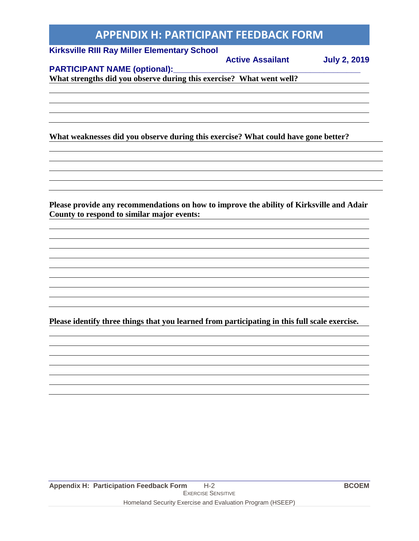### **APPENDIX H: PARTICIPANT FEEDBACK FORM**

#### **Kirksville RIII Ray Miller Elementary School**

#### **Active Assailant July 2, 2019**

#### **PARTICIPANT NAME (optional):**

**What strengths did you observe during this exercise? What went well?**

**What weaknesses did you observe during this exercise? What could have gone better?**

**Please provide any recommendations on how to improve the ability of Kirksville and Adair County to respond to similar major events:**

**Please identify three things that you learned from participating in this full scale exercise.**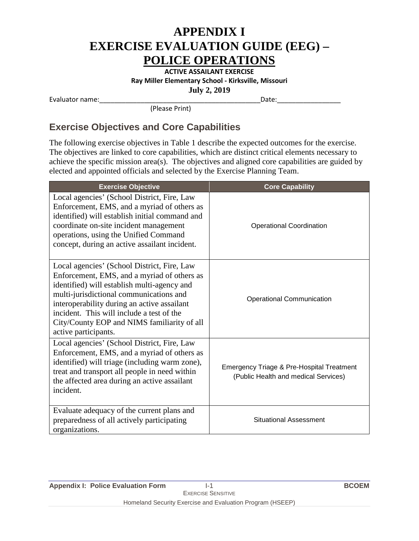**ACTIVE ASSAILANT EXERCISE Ray Miller Elementary School - Kirksville, Missouri July 2, 2019**

Evaluator name:\_\_\_\_\_\_\_\_\_\_\_\_\_\_\_\_\_\_\_\_\_\_\_\_\_\_\_\_\_\_\_\_\_\_\_\_\_\_\_\_\_\_\_Date:\_\_\_\_\_\_\_\_\_\_\_\_\_\_\_\_\_

(Please Print)

#### **Exercise Objectives and Core Capabilities**

The following exercise objectives in Table 1 describe the expected outcomes for the exercise. The objectives are linked to core capabilities, which are distinct critical elements necessary to achieve the specific mission area(s). The objectives and aligned core capabilities are guided by elected and appointed officials and selected by the Exercise Planning Team.

| <b>Exercise Objective</b>                                                                                                                                                                                                                                                                                                                               | <b>Core Capability</b>                                                            |
|---------------------------------------------------------------------------------------------------------------------------------------------------------------------------------------------------------------------------------------------------------------------------------------------------------------------------------------------------------|-----------------------------------------------------------------------------------|
| Local agencies' (School District, Fire, Law<br>Enforcement, EMS, and a myriad of others as<br>identified) will establish initial command and<br>coordinate on-site incident management<br>operations, using the Unified Command<br>concept, during an active assailant incident.                                                                        | <b>Operational Coordination</b>                                                   |
| Local agencies' (School District, Fire, Law<br>Enforcement, EMS, and a myriad of others as<br>identified) will establish multi-agency and<br>multi-jurisdictional communications and<br>interoperability during an active assailant<br>incident. This will include a test of the<br>City/County EOP and NIMS familiarity of all<br>active participants. | <b>Operational Communication</b>                                                  |
| Local agencies' (School District, Fire, Law<br>Enforcement, EMS, and a myriad of others as<br>identified) will triage (including warm zone),<br>treat and transport all people in need within<br>the affected area during an active assailant<br>incident.                                                                                              | Emergency Triage & Pre-Hospital Treatment<br>(Public Health and medical Services) |
| Evaluate adequacy of the current plans and<br>preparedness of all actively participating<br>organizations.                                                                                                                                                                                                                                              | <b>Situational Assessment</b>                                                     |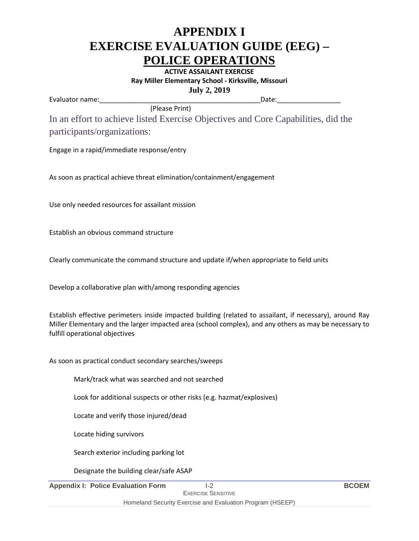**ACTIVE ASSAILANT EXERCISE Ray Miller Elementary School - Kirksville, Missouri July 2, 2019**

Evaluator name:\_\_\_\_\_\_\_\_\_\_\_\_\_\_\_\_\_\_\_\_\_\_\_\_\_\_\_\_\_\_\_\_\_\_\_\_\_\_\_\_\_\_\_Date:\_\_\_\_\_\_\_\_\_\_\_\_\_\_\_\_\_

In an effort to achieve listed Exercise Objectives and Core Capabilities, did the participants/organizations:

Engage in a rapid/immediate response/entry

As soon as practical achieve threat elimination/containment/engagement

(Please Print)

Use only needed resources for assailant mission

Establish an obvious command structure

Clearly communicate the command structure and update if/when appropriate to field units

Develop a collaborative plan with/among responding agencies

Establish effective perimeters inside impacted building (related to assailant, if necessary), around Ray Miller Elementary and the larger impacted area (school complex), and any others as may be necessary to fulfill operational objectives

As soon as practical conduct secondary searches/sweeps

Mark/track what was searched and not searched

Look for additional suspects or other risks (e.g. hazmat/explosives)

Locate and verify those injured/dead

Locate hiding survivors

Search exterior including parking lot

Designate the building clear/safe ASAP

**Appendix I: Police Evaluation Form** I-2 **BCOEM**

Homeland Security Exercise and Evaluation Program (HSEEP)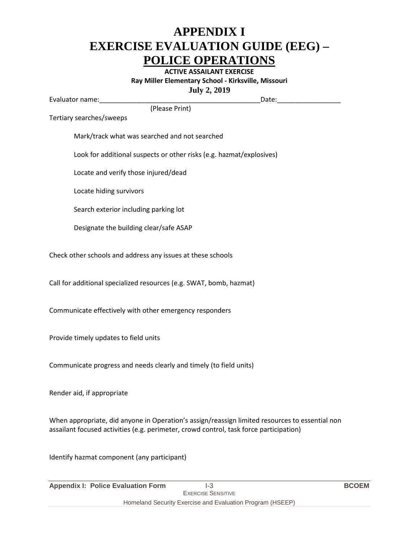**ACTIVE ASSAILANT EXERCISE Ray Miller Elementary School - Kirksville, Missouri July 2, 2019**

Evaluator name:\_\_\_\_\_\_\_\_\_\_\_\_\_\_\_\_\_\_\_\_\_\_\_\_\_\_\_\_\_\_\_\_\_\_\_\_\_\_\_\_\_\_\_Date:\_\_\_\_\_\_\_\_\_\_\_\_\_\_\_\_\_

(Please Print)

Tertiary searches/sweeps

Mark/track what was searched and not searched

Look for additional suspects or other risks (e.g. hazmat/explosives)

Locate and verify those injured/dead

Locate hiding survivors

Search exterior including parking lot

Designate the building clear/safe ASAP

Check other schools and address any issues at these schools

Call for additional specialized resources (e.g. SWAT, bomb, hazmat)

Communicate effectively with other emergency responders

Provide timely updates to field units

Communicate progress and needs clearly and timely (to field units)

Render aid, if appropriate

When appropriate, did anyone in Operation's assign/reassign limited resources to essential non assailant focused activities (e.g. perimeter, crowd control, task force participation)

Identify hazmat component (any participant)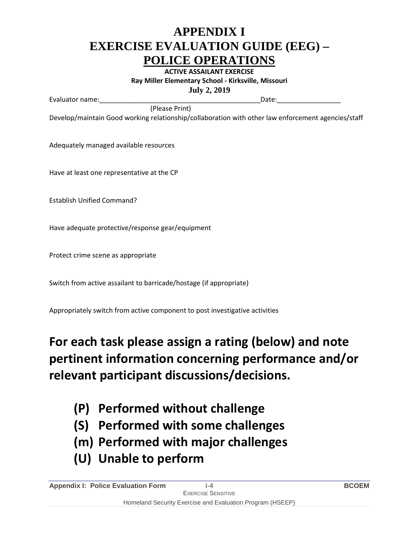**ACTIVE ASSAILANT EXERCISE Ray Miller Elementary School - Kirksville, Missouri July 2, 2019**

Evaluator name:\_\_\_\_\_\_\_\_\_\_\_\_\_\_\_\_\_\_\_\_\_\_\_\_\_\_\_\_\_\_\_\_\_\_\_\_\_\_\_\_\_\_\_Date:\_\_\_\_\_\_\_\_\_\_\_\_\_\_\_\_\_

Develop/maintain Good working relationship/collaboration with other law enforcement agencies/staff

(Please Print)

Adequately managed available resources

Have at least one representative at the CP

Establish Unified Command?

Have adequate protective/response gear/equipment

Protect crime scene as appropriate

Switch from active assailant to barricade/hostage (if appropriate)

Appropriately switch from active component to post investigative activities

### **For each task please assign a rating (below) and note pertinent information concerning performance and/or relevant participant discussions/decisions.**

- **(P) Performed without challenge**
- **(S) Performed with some challenges**
- **(m) Performed with major challenges**
- **(U) Unable to perform**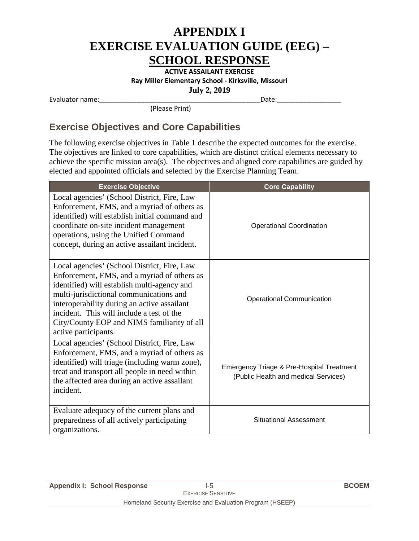**ACTIVE ASSAILANT EXERCISE Ray Miller Elementary School - Kirksville, Missouri July 2, 2019**

Evaluator name:\_\_\_\_\_\_\_\_\_\_\_\_\_\_\_\_\_\_\_\_\_\_\_\_\_\_\_\_\_\_\_\_\_\_\_\_\_\_\_\_\_\_\_Date:\_\_\_\_\_\_\_\_\_\_\_\_\_\_\_\_\_

(Please Print)

#### **Exercise Objectives and Core Capabilities**

The following exercise objectives in Table 1 describe the expected outcomes for the exercise. The objectives are linked to core capabilities, which are distinct critical elements necessary to achieve the specific mission area(s). The objectives and aligned core capabilities are guided by elected and appointed officials and selected by the Exercise Planning Team.

| <b>Exercise Objective</b>                                                                                                                                                                                                                                                                                                                               | <b>Core Capability</b>                                                                       |
|---------------------------------------------------------------------------------------------------------------------------------------------------------------------------------------------------------------------------------------------------------------------------------------------------------------------------------------------------------|----------------------------------------------------------------------------------------------|
| Local agencies' (School District, Fire, Law<br>Enforcement, EMS, and a myriad of others as<br>identified) will establish initial command and<br>coordinate on-site incident management<br>operations, using the Unified Command<br>concept, during an active assailant incident.                                                                        | <b>Operational Coordination</b>                                                              |
| Local agencies' (School District, Fire, Law<br>Enforcement, EMS, and a myriad of others as<br>identified) will establish multi-agency and<br>multi-jurisdictional communications and<br>interoperability during an active assailant<br>incident. This will include a test of the<br>City/County EOP and NIMS familiarity of all<br>active participants. | <b>Operational Communication</b>                                                             |
| Local agencies' (School District, Fire, Law<br>Enforcement, EMS, and a myriad of others as<br>identified) will triage (including warm zone),<br>treat and transport all people in need within<br>the affected area during an active assailant<br>incident.                                                                                              | <b>Emergency Triage &amp; Pre-Hospital Treatment</b><br>(Public Health and medical Services) |
| Evaluate adequacy of the current plans and<br>preparedness of all actively participating<br>organizations.                                                                                                                                                                                                                                              | <b>Situational Assessment</b>                                                                |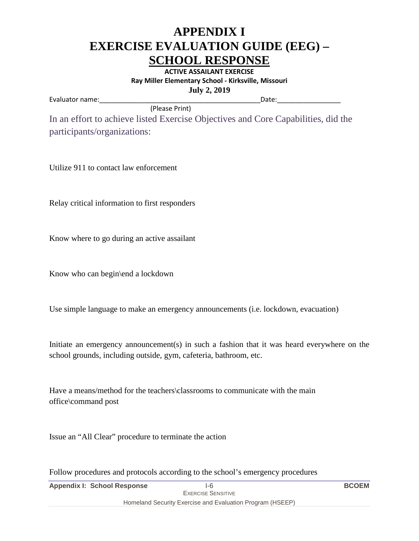**ACTIVE ASSAILANT EXERCISE Ray Miller Elementary School - Kirksville, Missouri July 2, 2019**

Evaluator name:\_\_\_\_\_\_\_\_\_\_\_\_\_\_\_\_\_\_\_\_\_\_\_\_\_\_\_\_\_\_\_\_\_\_\_\_\_\_\_\_\_\_\_Date:\_\_\_\_\_\_\_\_\_\_\_\_\_\_\_\_\_

 (Please Print) In an effort to achieve listed Exercise Objectives and Core Capabilities, did the participants/organizations:

Utilize 911 to contact law enforcement

Relay critical information to first responders

Know where to go during an active assailant

Know who can begin\end a lockdown

Use simple language to make an emergency announcements (i.e. lockdown, evacuation)

Initiate an emergency announcement(s) in such a fashion that it was heard everywhere on the school grounds, including outside, gym, cafeteria, bathroom, etc.

Have a means/method for the teachers\classrooms to communicate with the main office\command post

Issue an "All Clear" procedure to terminate the action

Follow procedures and protocols according to the school's emergency procedures

| <b>Appendix I: School Response</b> | I-6                                                       | <b>BCOEM</b> |
|------------------------------------|-----------------------------------------------------------|--------------|
|                                    | <b>EXERCISE SENSITIVE</b>                                 |              |
|                                    | Homeland Security Exercise and Evaluation Program (HSEEP) |              |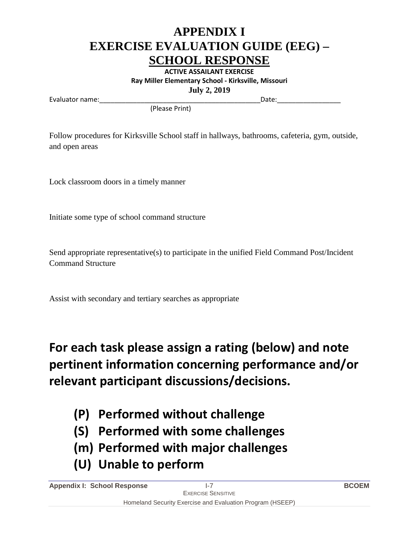**ACTIVE ASSAILANT EXERCISE Ray Miller Elementary School - Kirksville, Missouri July 2, 2019**

Evaluator name:\_\_\_\_\_\_\_\_\_\_\_\_\_\_\_\_\_\_\_\_\_\_\_\_\_\_\_\_\_\_\_\_\_\_\_\_\_\_\_\_\_\_\_Date:\_\_\_\_\_\_\_\_\_\_\_\_\_\_\_\_\_

(Please Print)

Follow procedures for Kirksville School staff in hallways, bathrooms, cafeteria, gym, outside, and open areas

Lock classroom doors in a timely manner

Initiate some type of school command structure

Send appropriate representative(s) to participate in the unified Field Command Post/Incident Command Structure

Assist with secondary and tertiary searches as appropriate

**For each task please assign a rating (below) and note pertinent information concerning performance and/or relevant participant discussions/decisions.**

- **(P) Performed without challenge**
- **(S) Performed with some challenges**
- **(m) Performed with major challenges**
- **(U) Unable to perform**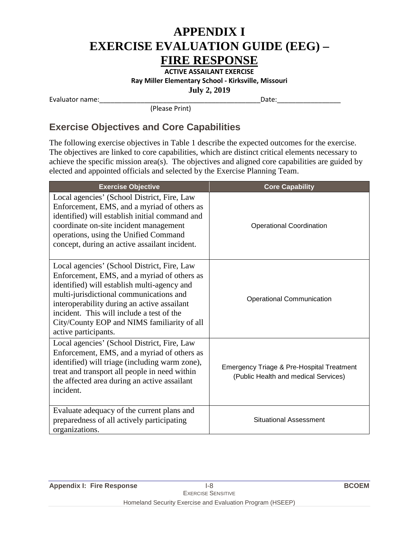**ACTIVE ASSAILANT EXERCISE Ray Miller Elementary School - Kirksville, Missouri July 2, 2019**

Evaluator name:\_\_\_\_\_\_\_\_\_\_\_\_\_\_\_\_\_\_\_\_\_\_\_\_\_\_\_\_\_\_\_\_\_\_\_\_\_\_\_\_\_\_\_Date:\_\_\_\_\_\_\_\_\_\_\_\_\_\_\_\_\_

(Please Print)

#### **Exercise Objectives and Core Capabilities**

The following exercise objectives in Table 1 describe the expected outcomes for the exercise. The objectives are linked to core capabilities, which are distinct critical elements necessary to achieve the specific mission area(s). The objectives and aligned core capabilities are guided by elected and appointed officials and selected by the Exercise Planning Team.

| <b>Exercise Objective</b>                                                                                                                                                                                                                                                                                                                               | <b>Core Capability</b>                                                                       |
|---------------------------------------------------------------------------------------------------------------------------------------------------------------------------------------------------------------------------------------------------------------------------------------------------------------------------------------------------------|----------------------------------------------------------------------------------------------|
| Local agencies' (School District, Fire, Law<br>Enforcement, EMS, and a myriad of others as<br>identified) will establish initial command and<br>coordinate on-site incident management<br>operations, using the Unified Command<br>concept, during an active assailant incident.                                                                        | <b>Operational Coordination</b>                                                              |
| Local agencies' (School District, Fire, Law<br>Enforcement, EMS, and a myriad of others as<br>identified) will establish multi-agency and<br>multi-jurisdictional communications and<br>interoperability during an active assailant<br>incident. This will include a test of the<br>City/County EOP and NIMS familiarity of all<br>active participants. | <b>Operational Communication</b>                                                             |
| Local agencies' (School District, Fire, Law<br>Enforcement, EMS, and a myriad of others as<br>identified) will triage (including warm zone),<br>treat and transport all people in need within<br>the affected area during an active assailant<br>incident.                                                                                              | <b>Emergency Triage &amp; Pre-Hospital Treatment</b><br>(Public Health and medical Services) |
| Evaluate adequacy of the current plans and<br>preparedness of all actively participating<br>organizations.                                                                                                                                                                                                                                              | <b>Situational Assessment</b>                                                                |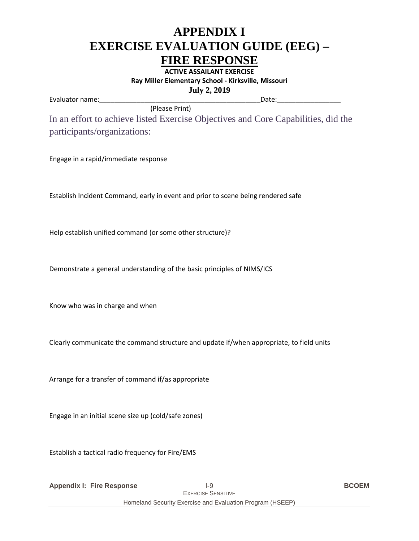**ACTIVE ASSAILANT EXERCISE Ray Miller Elementary School - Kirksville, Missouri July 2, 2019**

Evaluator name:\_\_\_\_\_\_\_\_\_\_\_\_\_\_\_\_\_\_\_\_\_\_\_\_\_\_\_\_\_\_\_\_\_\_\_\_\_\_\_\_\_\_\_Date:\_\_\_\_\_\_\_\_\_\_\_\_\_\_\_\_\_

 (Please Print) In an effort to achieve listed Exercise Objectives and Core Capabilities, did the participants/organizations:

Engage in a rapid/immediate response

Establish Incident Command, early in event and prior to scene being rendered safe

Help establish unified command (or some other structure)?

Demonstrate a general understanding of the basic principles of NIMS/ICS

Know who was in charge and when

Clearly communicate the command structure and update if/when appropriate, to field units

Arrange for a transfer of command if/as appropriate

Engage in an initial scene size up (cold/safe zones)

Establish a tactical radio frequency for Fire/EMS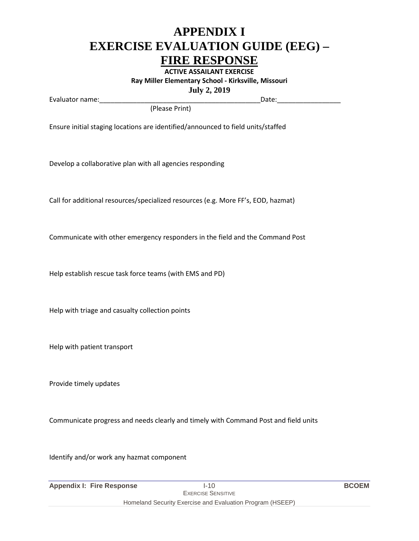**ACTIVE ASSAILANT EXERCISE Ray Miller Elementary School - Kirksville, Missouri July 2, 2019**

Evaluator name:\_\_\_\_\_\_\_\_\_\_\_\_\_\_\_\_\_\_\_\_\_\_\_\_\_\_\_\_\_\_\_\_\_\_\_\_\_\_\_\_\_\_\_Date:\_\_\_\_\_\_\_\_\_\_\_\_\_\_\_\_\_

(Please Print)

Ensure initial staging locations are identified/announced to field units/staffed

Develop a collaborative plan with all agencies responding

Call for additional resources/specialized resources (e.g. More FF's, EOD, hazmat)

Communicate with other emergency responders in the field and the Command Post

Help establish rescue task force teams (with EMS and PD)

Help with triage and casualty collection points

Help with patient transport

Provide timely updates

Communicate progress and needs clearly and timely with Command Post and field units

Identify and/or work any hazmat component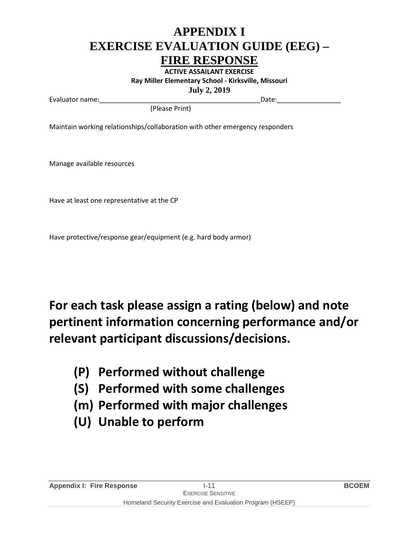**ACTIVE ASSAILANT EXERCISE Ray Miller Elementary School - Kirksville, Missouri July 2, 2019**

Evaluator name:\_\_\_\_\_\_\_\_\_\_\_\_\_\_\_\_\_\_\_\_\_\_\_\_\_\_\_\_\_\_\_\_\_\_\_\_\_\_\_\_\_\_\_Date:\_\_\_\_\_\_\_\_\_\_\_\_\_\_\_\_\_

(Please Print)

Maintain working relationships/collaboration with other emergency responders

Manage available resources

Have at least one representative at the CP

Have protective/response gear/equipment (e.g. hard body armor)

### **For each task please assign a rating (below) and note pertinent information concerning performance and/or relevant participant discussions/decisions.**

- **(P) Performed without challenge**
- **(S) Performed with some challenges**
- **(m) Performed with major challenges**
- **(U) Unable to perform**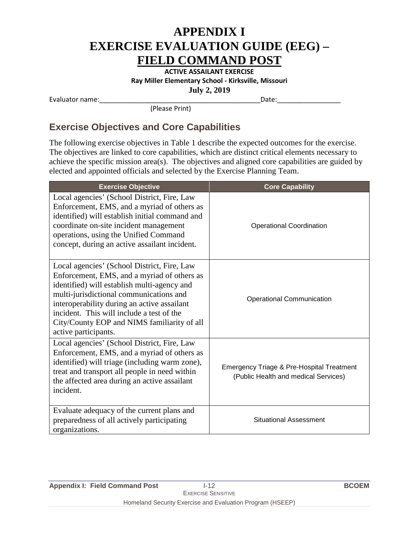**ACTIVE ASSAILANT EXERCISE Ray Miller Elementary School - Kirksville, Missouri July 2, 2019**

Evaluator name:\_\_\_\_\_\_\_\_\_\_\_\_\_\_\_\_\_\_\_\_\_\_\_\_\_\_\_\_\_\_\_\_\_\_\_\_\_\_\_\_\_\_\_Date:\_\_\_\_\_\_\_\_\_\_\_\_\_\_\_\_\_

(Please Print)

#### **Exercise Objectives and Core Capabilities**

The following exercise objectives in Table 1 describe the expected outcomes for the exercise. The objectives are linked to core capabilities, which are distinct critical elements necessary to achieve the specific mission area(s). The objectives and aligned core capabilities are guided by elected and appointed officials and selected by the Exercise Planning Team.

| <b>Exercise Objective</b>                                                                                                                                                                                                                                                                                                                               | <b>Core Capability</b>                                                            |
|---------------------------------------------------------------------------------------------------------------------------------------------------------------------------------------------------------------------------------------------------------------------------------------------------------------------------------------------------------|-----------------------------------------------------------------------------------|
| Local agencies' (School District, Fire, Law<br>Enforcement, EMS, and a myriad of others as<br>identified) will establish initial command and<br>coordinate on-site incident management<br>operations, using the Unified Command<br>concept, during an active assailant incident.                                                                        | <b>Operational Coordination</b>                                                   |
| Local agencies' (School District, Fire, Law<br>Enforcement, EMS, and a myriad of others as<br>identified) will establish multi-agency and<br>multi-jurisdictional communications and<br>interoperability during an active assailant<br>incident. This will include a test of the<br>City/County EOP and NIMS familiarity of all<br>active participants. | <b>Operational Communication</b>                                                  |
| Local agencies' (School District, Fire, Law<br>Enforcement, EMS, and a myriad of others as<br>identified) will triage (including warm zone),<br>treat and transport all people in need within<br>the affected area during an active assailant<br>incident.                                                                                              | Emergency Triage & Pre-Hospital Treatment<br>(Public Health and medical Services) |
| Evaluate adequacy of the current plans and<br>preparedness of all actively participating<br>organizations.                                                                                                                                                                                                                                              | <b>Situational Assessment</b>                                                     |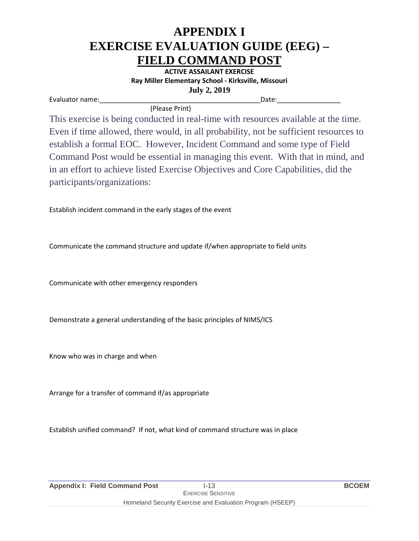**ACTIVE ASSAILANT EXERCISE Ray Miller Elementary School - Kirksville, Missouri July 2, 2019**

Evaluator name:\_\_\_\_\_\_\_\_\_\_\_\_\_\_\_\_\_\_\_\_\_\_\_\_\_\_\_\_\_\_\_\_\_\_\_\_\_\_\_\_\_\_\_Date:\_\_\_\_\_\_\_\_\_\_\_\_\_\_\_\_\_

(Please Print)

This exercise is being conducted in real-time with resources available at the time. Even if time allowed, there would, in all probability, not be sufficient resources to establish a formal EOC. However, Incident Command and some type of Field Command Post would be essential in managing this event. With that in mind, and in an effort to achieve listed Exercise Objectives and Core Capabilities, did the participants/organizations:

Establish incident command in the early stages of the event

Communicate the command structure and update if/when appropriate to field units

Communicate with other emergency responders

Demonstrate a general understanding of the basic principles of NIMS/ICS

Know who was in charge and when

Arrange for a transfer of command if/as appropriate

Establish unified command? If not, what kind of command structure was in place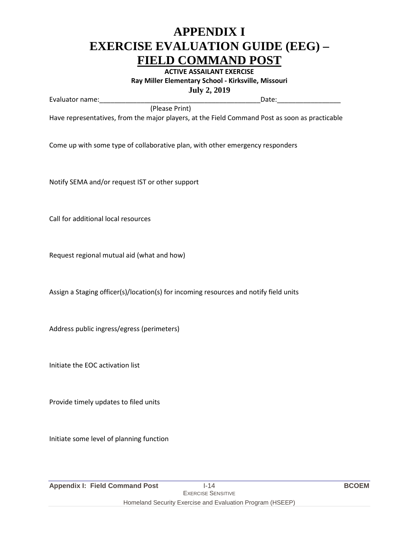**ACTIVE ASSAILANT EXERCISE Ray Miller Elementary School - Kirksville, Missouri July 2, 2019**

Evaluator name:\_\_\_\_\_\_\_\_\_\_\_\_\_\_\_\_\_\_\_\_\_\_\_\_\_\_\_\_\_\_\_\_\_\_\_\_\_\_\_\_\_\_\_Date:\_\_\_\_\_\_\_\_\_\_\_\_\_\_\_\_\_

(Please Print)

Have representatives, from the major players, at the Field Command Post as soon as practicable

Come up with some type of collaborative plan, with other emergency responders

Notify SEMA and/or request IST or other support

Call for additional local resources

Request regional mutual aid (what and how)

Assign a Staging officer(s)/location(s) for incoming resources and notify field units

Address public ingress/egress (perimeters)

Initiate the EOC activation list

Provide timely updates to filed units

Initiate some level of planning function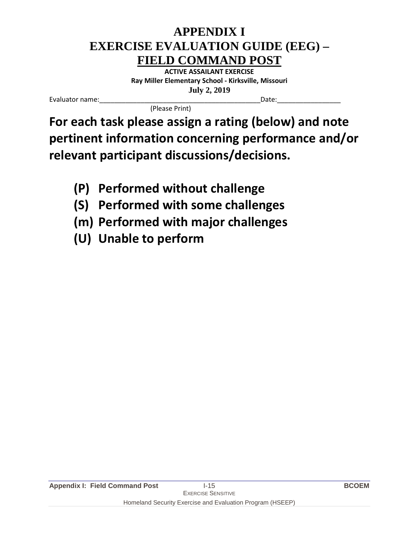**ACTIVE ASSAILANT EXERCISE Ray Miller Elementary School - Kirksville, Missouri July 2, 2019**

Evaluator name:\_\_\_\_\_\_\_\_\_\_\_\_\_\_\_\_\_\_\_\_\_\_\_\_\_\_\_\_\_\_\_\_\_\_\_\_\_\_\_\_\_\_\_Date:\_\_\_\_\_\_\_\_\_\_\_\_\_\_\_\_\_

(Please Print)

**For each task please assign a rating (below) and note pertinent information concerning performance and/or relevant participant discussions/decisions.**

- **(P) Performed without challenge**
- **(S) Performed with some challenges**
- **(m) Performed with major challenges**
- **(U) Unable to perform**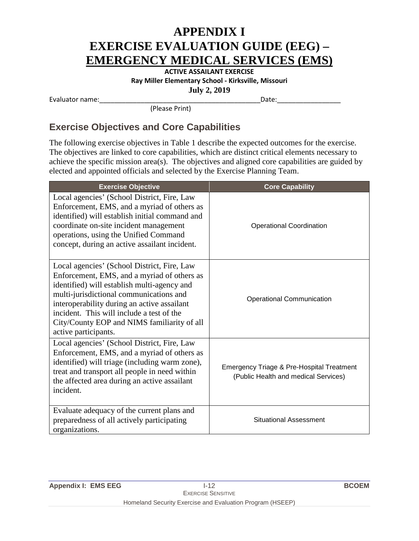### **APPENDIX I EXERCISE EVALUATION GUIDE (EEG) – EMERGENCY MEDICAL SERVICES (EMS)**

**ACTIVE ASSAILANT EXERCISE Ray Miller Elementary School - Kirksville, Missouri July 2, 2019**

Evaluator name:\_\_\_\_\_\_\_\_\_\_\_\_\_\_\_\_\_\_\_\_\_\_\_\_\_\_\_\_\_\_\_\_\_\_\_\_\_\_\_\_\_\_\_Date:\_\_\_\_\_\_\_\_\_\_\_\_\_\_\_\_\_

(Please Print)

#### **Exercise Objectives and Core Capabilities**

The following exercise objectives in Table 1 describe the expected outcomes for the exercise. The objectives are linked to core capabilities, which are distinct critical elements necessary to achieve the specific mission area(s). The objectives and aligned core capabilities are guided by elected and appointed officials and selected by the Exercise Planning Team.

| <b>Exercise Objective</b>                                                                                                                                                                                                                                                                                                                               | <b>Core Capability</b>                                                            |
|---------------------------------------------------------------------------------------------------------------------------------------------------------------------------------------------------------------------------------------------------------------------------------------------------------------------------------------------------------|-----------------------------------------------------------------------------------|
| Local agencies' (School District, Fire, Law<br>Enforcement, EMS, and a myriad of others as<br>identified) will establish initial command and<br>coordinate on-site incident management<br>operations, using the Unified Command<br>concept, during an active assailant incident.                                                                        | <b>Operational Coordination</b>                                                   |
| Local agencies' (School District, Fire, Law<br>Enforcement, EMS, and a myriad of others as<br>identified) will establish multi-agency and<br>multi-jurisdictional communications and<br>interoperability during an active assailant<br>incident. This will include a test of the<br>City/County EOP and NIMS familiarity of all<br>active participants. | <b>Operational Communication</b>                                                  |
| Local agencies' (School District, Fire, Law<br>Enforcement, EMS, and a myriad of others as<br>identified) will triage (including warm zone),<br>treat and transport all people in need within<br>the affected area during an active assailant<br>incident.                                                                                              | Emergency Triage & Pre-Hospital Treatment<br>(Public Health and medical Services) |
| Evaluate adequacy of the current plans and<br>preparedness of all actively participating<br>organizations.                                                                                                                                                                                                                                              | <b>Situational Assessment</b>                                                     |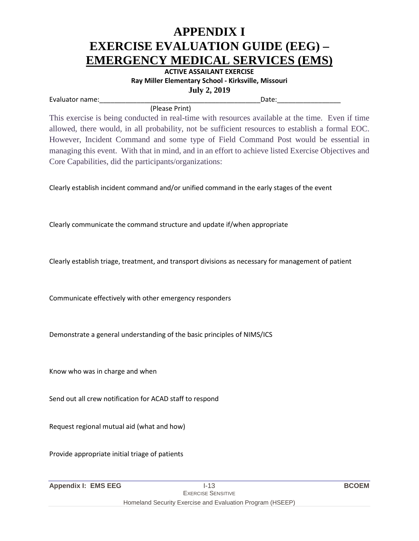### **APPENDIX I EXERCISE EVALUATION GUIDE (EEG) – EMERGENCY MEDICAL SERVICES (EMS)**

**ACTIVE ASSAILANT EXERCISE Ray Miller Elementary School - Kirksville, Missouri July 2, 2019**

Evaluator name:\_\_\_\_\_\_\_\_\_\_\_\_\_\_\_\_\_\_\_\_\_\_\_\_\_\_\_\_\_\_\_\_\_\_\_\_\_\_\_\_\_\_\_Date:\_\_\_\_\_\_\_\_\_\_\_\_\_\_\_\_\_

(Please Print)

This exercise is being conducted in real-time with resources available at the time. Even if time allowed, there would, in all probability, not be sufficient resources to establish a formal EOC. However, Incident Command and some type of Field Command Post would be essential in managing this event. With that in mind, and in an effort to achieve listed Exercise Objectives and Core Capabilities, did the participants/organizations:

Clearly establish incident command and/or unified command in the early stages of the event

Clearly communicate the command structure and update if/when appropriate

Clearly establish triage, treatment, and transport divisions as necessary for management of patient

Communicate effectively with other emergency responders

Demonstrate a general understanding of the basic principles of NIMS/ICS

Know who was in charge and when

Send out all crew notification for ACAD staff to respond

Request regional mutual aid (what and how)

Provide appropriate initial triage of patients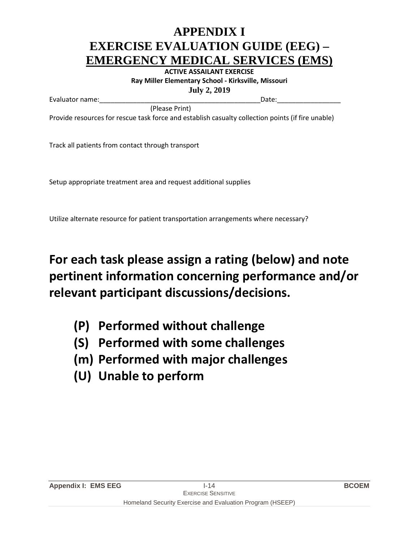### **APPENDIX I EXERCISE EVALUATION GUIDE (EEG) – EMERGENCY MEDICAL SERVICES (EMS)**

**ACTIVE ASSAILANT EXERCISE Ray Miller Elementary School - Kirksville, Missouri July 2, 2019**

Evaluator name:\_\_\_\_\_\_\_\_\_\_\_\_\_\_\_\_\_\_\_\_\_\_\_\_\_\_\_\_\_\_\_\_\_\_\_\_\_\_\_\_\_\_\_Date:\_\_\_\_\_\_\_\_\_\_\_\_\_\_\_\_\_

Provide resources for rescue task force and establish casualty collection points (if fire unable)

(Please Print)

Track all patients from contact through transport

Setup appropriate treatment area and request additional supplies

Utilize alternate resource for patient transportation arrangements where necessary?

### **For each task please assign a rating (below) and note pertinent information concerning performance and/or relevant participant discussions/decisions.**

- **(P) Performed without challenge**
- **(S) Performed with some challenges**
- **(m) Performed with major challenges**
- **(U) Unable to perform**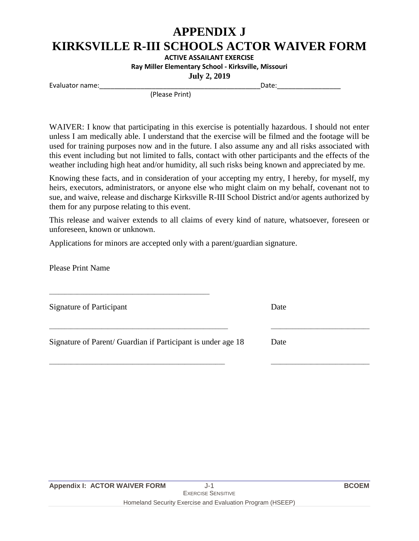## **APPENDIX J**

### **KIRKSVILLE R-III SCHOOLS ACTOR WAIVER FORM**

**ACTIVE ASSAILANT EXERCISE**

**Ray Miller Elementary School - Kirksville, Missouri**

**July 2, 2019**

Evaluator name:\_\_\_\_\_\_\_\_\_\_\_\_\_\_\_\_\_\_\_\_\_\_\_\_\_\_\_\_\_\_\_\_\_\_\_\_\_\_\_\_\_\_\_Date:\_\_\_\_\_\_\_\_\_\_\_\_\_\_\_\_\_

(Please Print)

WAIVER: I know that participating in this exercise is potentially hazardous. I should not enter unless I am medically able. I understand that the exercise will be filmed and the footage will be used for training purposes now and in the future. I also assume any and all risks associated with this event including but not limited to falls, contact with other participants and the effects of the weather including high heat and/or humidity, all such risks being known and appreciated by me.

Knowing these facts, and in consideration of your accepting my entry, I hereby, for myself, my heirs, executors, administrators, or anyone else who might claim on my behalf, covenant not to sue, and waive, release and discharge Kirksville R-III School District and/or agents authorized by them for any purpose relating to this event.

This release and waiver extends to all claims of every kind of nature, whatsoever, foreseen or unforeseen, known or unknown.

 $\Box$ 

\_\_\_\_\_\_\_\_\_\_\_\_\_\_\_\_\_\_\_\_\_\_\_\_\_\_\_\_\_\_\_\_\_\_\_\_\_\_\_\_\_\_\_\_\_\_\_\_\_\_\_\_\_\_\_\_\_ \_\_\_\_\_\_\_\_\_\_\_\_\_\_\_\_\_\_\_\_\_\_\_\_\_\_\_\_\_\_\_\_

Applications for minors are accepted only with a parent/guardian signature.

Please Print Name

Signature of Participant Date

Signature of Parent/ Guardian if Participant is under age 18 Date

\_\_\_\_\_\_\_\_\_\_\_\_\_\_\_\_\_\_\_\_\_\_\_\_\_\_\_\_\_\_\_\_\_\_\_\_\_\_\_\_\_\_\_\_\_\_\_\_\_\_\_\_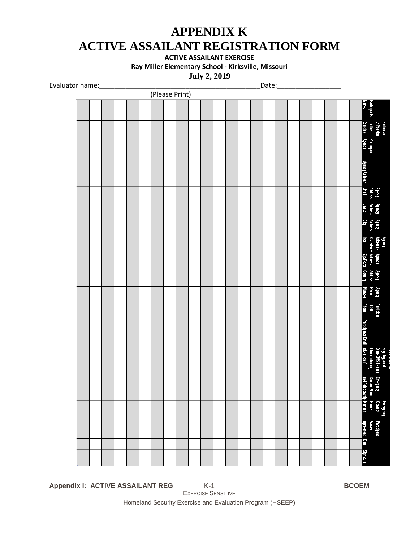### **APPENDIX K ACTIVE ASSAILANT REGISTRATION FORM**

**ACTIVE ASSAILANT EXERCISE**

**Ray Miller Elementary School - Kirksville, Missouri**

**July 2, 2019**

Evaluator name: etc. and the set of the set of the set of the set of the set of the set of the set of the set o

| $\sim$ $\sim$ |  |  |  | (Please Print) |  |  |  | <b>Dacc</b> |  |  |  |                                                                                       |                                                                                              |
|---------------|--|--|--|----------------|--|--|--|-------------|--|--|--|---------------------------------------------------------------------------------------|----------------------------------------------------------------------------------------------|
|               |  |  |  |                |  |  |  |             |  |  |  | Participants<br>Name:                                                                 |                                                                                              |
|               |  |  |  |                |  |  |  |             |  |  |  | Exercise                                                                              | Patticipant<br>'s Position<br>for the                                                        |
|               |  |  |  |                |  |  |  |             |  |  |  | Participants<br>Agency:                                                               |                                                                                              |
|               |  |  |  |                |  |  |  |             |  |  |  | <b>Agency Address</b>                                                                 |                                                                                              |
|               |  |  |  |                |  |  |  |             |  |  |  | Agency Agency Agency<br>Address Address Address<br>Line1 Line2 City                   |                                                                                              |
|               |  |  |  |                |  |  |  |             |  |  |  |                                                                                       |                                                                                              |
|               |  |  |  |                |  |  |  |             |  |  |  |                                                                                       |                                                                                              |
|               |  |  |  |                |  |  |  |             |  |  |  |                                                                                       | Agency<br>- Address Agency Agency<br>- StadePov Address Address &<br>ince - ZipPostal County |
|               |  |  |  |                |  |  |  |             |  |  |  |                                                                                       |                                                                                              |
|               |  |  |  |                |  |  |  |             |  |  |  |                                                                                       |                                                                                              |
|               |  |  |  |                |  |  |  |             |  |  |  | Agency<br>Phone<br>Number                                                             |                                                                                              |
|               |  |  |  |                |  |  |  |             |  |  |  | Patticipan<br>t Cell<br>Phone                                                         |                                                                                              |
|               |  |  |  |                |  |  |  |             |  |  |  | <b>Participants Email</b>                                                             |                                                                                              |
|               |  |  |  |                |  |  |  |             |  |  |  |                                                                                       |                                                                                              |
|               |  |  |  |                |  |  |  |             |  |  |  | Emergeney<br>Contact Name Phone<br>and Relationship Number<br>and Relationship Number |                                                                                              |
|               |  |  |  |                |  |  |  |             |  |  |  |                                                                                       |                                                                                              |
|               |  |  |  |                |  |  |  |             |  |  |  | Participant<br>Vaiver<br>Agreement Date Signature                                     |                                                                                              |
|               |  |  |  |                |  |  |  |             |  |  |  |                                                                                       |                                                                                              |
|               |  |  |  |                |  |  |  |             |  |  |  |                                                                                       |                                                                                              |

**Appendix I: ACTIVE ASSAILANT REG** K-1 **BCOEM**